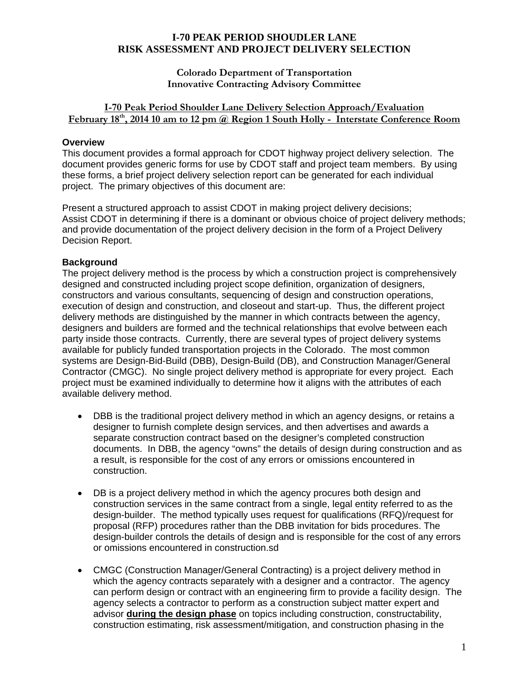## **Colorado Department of Transportation Innovative Contracting Advisory Committee**

## **I-70 Peak Period Shoulder Lane Delivery Selection Approach/Evaluation**  February 18<sup>th</sup>, 2014 10 am to 12 pm @ Region 1 South Holly - Interstate Conference Room

## **Overview**

This document provides a formal approach for CDOT highway project delivery selection. The document provides generic forms for use by CDOT staff and project team members. By using these forms, a brief project delivery selection report can be generated for each individual project. The primary objectives of this document are:

Present a structured approach to assist CDOT in making project delivery decisions; Assist CDOT in determining if there is a dominant or obvious choice of project delivery methods; and provide documentation of the project delivery decision in the form of a Project Delivery Decision Report.

## **Background**

The project delivery method is the process by which a construction project is comprehensively designed and constructed including project scope definition, organization of designers, constructors and various consultants, sequencing of design and construction operations, execution of design and construction, and closeout and start-up. Thus, the different project delivery methods are distinguished by the manner in which contracts between the agency, designers and builders are formed and the technical relationships that evolve between each party inside those contracts. Currently, there are several types of project delivery systems available for publicly funded transportation projects in the Colorado. The most common systems are Design-Bid-Build (DBB), Design-Build (DB), and Construction Manager/General Contractor (CMGC). No single project delivery method is appropriate for every project. Each project must be examined individually to determine how it aligns with the attributes of each available delivery method.

- DBB is the traditional project delivery method in which an agency designs, or retains a designer to furnish complete design services, and then advertises and awards a separate construction contract based on the designer's completed construction documents. In DBB, the agency "owns" the details of design during construction and as a result, is responsible for the cost of any errors or omissions encountered in construction.
- DB is a project delivery method in which the agency procures both design and construction services in the same contract from a single, legal entity referred to as the design-builder. The method typically uses request for qualifications (RFQ)/request for proposal (RFP) procedures rather than the DBB invitation for bids procedures. The design-builder controls the details of design and is responsible for the cost of any errors or omissions encountered in construction.sd
- CMGC (Construction Manager/General Contracting) is a project delivery method in which the agency contracts separately with a designer and a contractor. The agency can perform design or contract with an engineering firm to provide a facility design. The agency selects a contractor to perform as a construction subject matter expert and advisor **during the design phase** on topics including construction, constructability, construction estimating, risk assessment/mitigation, and construction phasing in the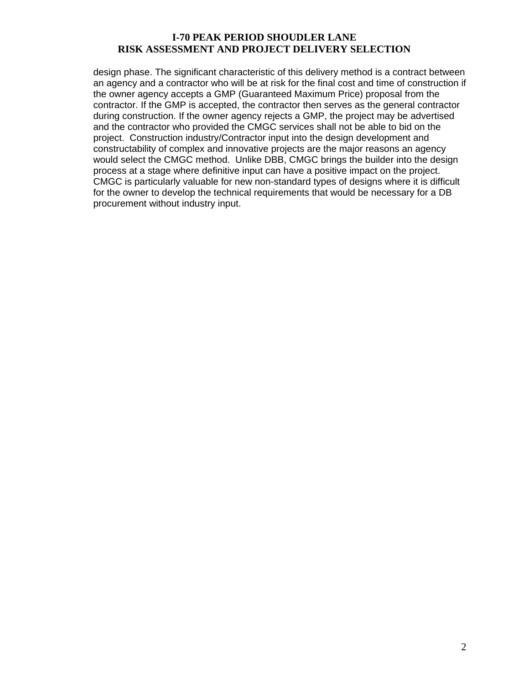design phase. The significant characteristic of this delivery method is a contract between an agency and a contractor who will be at risk for the final cost and time of construction if the owner agency accepts a GMP (Guaranteed Maximum Price) proposal from the contractor. If the GMP is accepted, the contractor then serves as the general contractor during construction. If the owner agency rejects a GMP, the project may be advertised and the contractor who provided the CMGC services shall not be able to bid on the project. Construction industry/Contractor input into the design development and constructability of complex and innovative projects are the major reasons an agency would select the CMGC method. Unlike DBB, CMGC brings the builder into the design process at a stage where definitive input can have a positive impact on the project. CMGC is particularly valuable for new non-standard types of designs where it is difficult for the owner to develop the technical requirements that would be necessary for a DB procurement without industry input.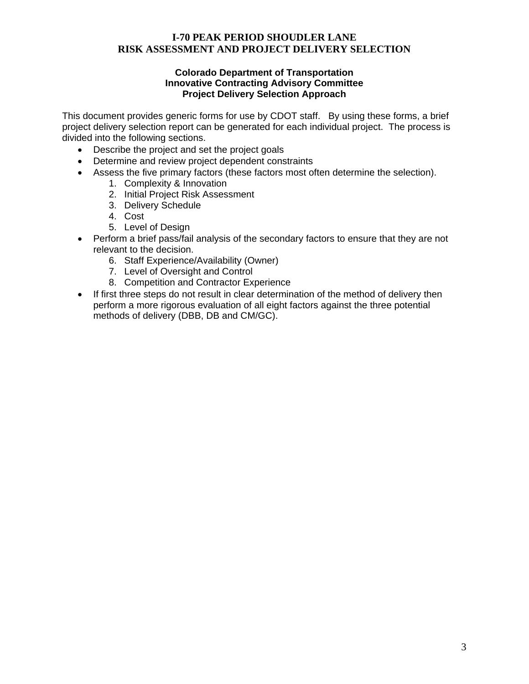### **Colorado Department of Transportation Innovative Contracting Advisory Committee Project Delivery Selection Approach**

This document provides generic forms for use by CDOT staff. By using these forms, a brief project delivery selection report can be generated for each individual project. The process is divided into the following sections.

- Describe the project and set the project goals
- Determine and review project dependent constraints
- Assess the five primary factors (these factors most often determine the selection).
	- 1. Complexity & Innovation
	- 2. Initial Project Risk Assessment
	- 3. Delivery Schedule
	- 4. Cost
	- 5. Level of Design
- Perform a brief pass/fail analysis of the secondary factors to ensure that they are not relevant to the decision.
	- 6. Staff Experience/Availability (Owner)
	- 7. Level of Oversight and Control
	- 8. Competition and Contractor Experience
- If first three steps do not result in clear determination of the method of delivery then perform a more rigorous evaluation of all eight factors against the three potential methods of delivery (DBB, DB and CM/GC).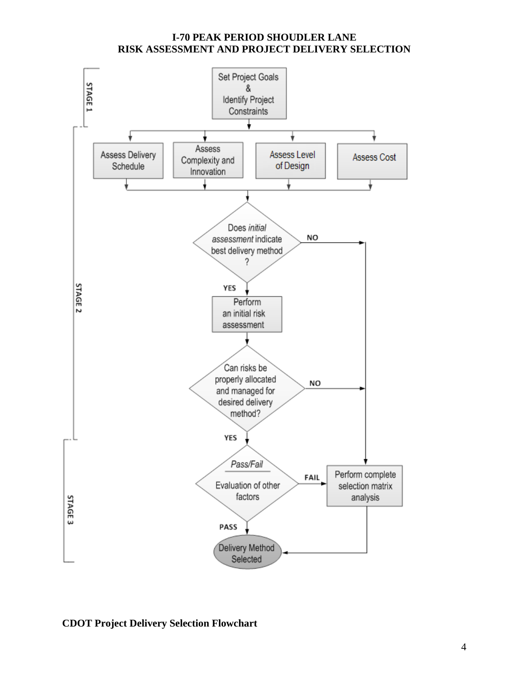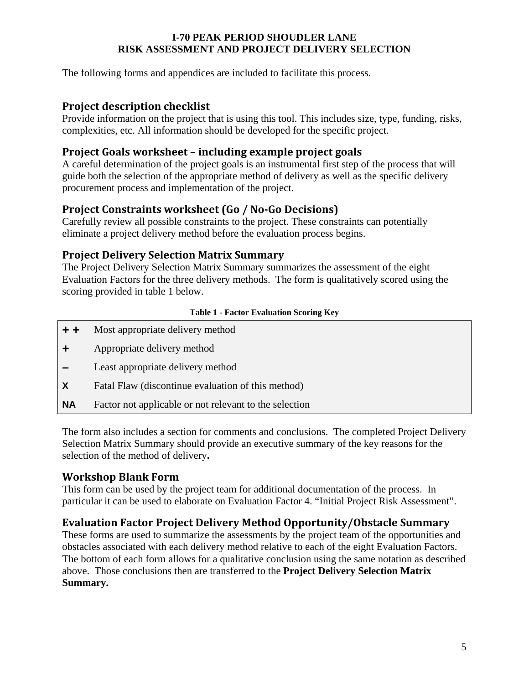The following forms and appendices are included to facilitate this process.

## **Project description checklist**

Provide information on the project that is using this tool. This includes size, type, funding, risks, complexities, etc. All information should be developed for the specific project.

## **Project Goals worksheet – including example project goals**

A careful determination of the project goals is an instrumental first step of the process that will guide both the selection of the appropriate method of delivery as well as the specific delivery procurement process and implementation of the project.

# **Project Constraints worksheet (Go / No‐Go Decisions)**

Carefully review all possible constraints to the project. These constraints can potentially eliminate a project delivery method before the evaluation process begins.

## **Project Delivery Selection Matrix Summary**

The Project Delivery Selection Matrix Summary summarizes the assessment of the eight Evaluation Factors for the three delivery methods. The form is qualitatively scored using the scoring provided in table 1 below.

### **Table 1 - Factor Evaluation Scoring Key**

- **+ +** Most appropriate delivery method
- **+** Appropriate delivery method
- **–** Least appropriate delivery method
- **X** Fatal Flaw (discontinue evaluation of this method)
- **NA** Factor not applicable or not relevant to the selection

The form also includes a section for comments and conclusions.The completed Project Delivery Selection Matrix Summary should provide an executive summary of the key reasons for the selection of the method of delivery**.** 

## **Workshop Blank Form**

This form can be used by the project team for additional documentation of the process. In particular it can be used to elaborate on Evaluation Factor 4. "Initial Project Risk Assessment".

## **Evaluation Factor Project Delivery Method Opportunity/Obstacle Summary**

These forms are used to summarize the assessments by the project team of the opportunities and obstacles associated with each delivery method relative to each of the eight Evaluation Factors. The bottom of each form allows for a qualitative conclusion using the same notation as described above. Those conclusions then are transferred to the **Project Delivery Selection Matrix Summary.**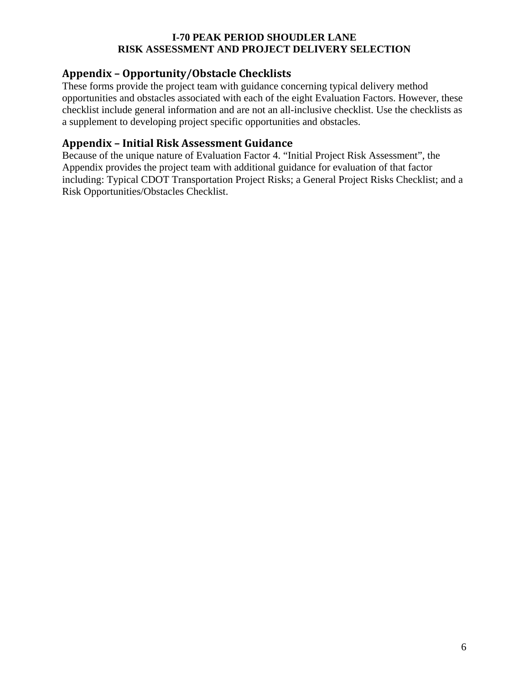# **Appendix – Opportunity/Obstacle Checklists**

These forms provide the project team with guidance concerning typical delivery method opportunities and obstacles associated with each of the eight Evaluation Factors. However, these checklist include general information and are not an all-inclusive checklist. Use the checklists as a supplement to developing project specific opportunities and obstacles.

## **Appendix – Initial Risk Assessment Guidance**

Because of the unique nature of Evaluation Factor 4. "Initial Project Risk Assessment", the Appendix provides the project team with additional guidance for evaluation of that factor including: Typical CDOT Transportation Project Risks; a General Project Risks Checklist; and a Risk Opportunities/Obstacles Checklist.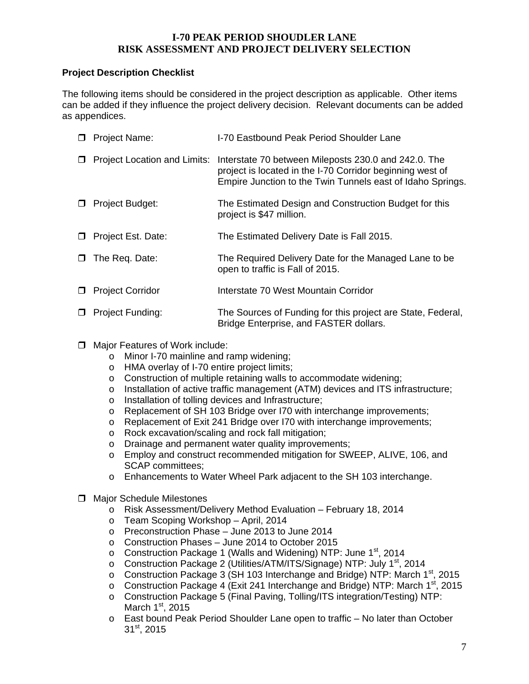### **Project Description Checklist**

The following items should be considered in the project description as applicable. Other items can be added if they influence the project delivery decision. Relevant documents can be added as appendices.

| 0 | <b>Project Name:</b>                | I-70 Eastbound Peak Period Shoulder Lane                                                                                                                                        |
|---|-------------------------------------|---------------------------------------------------------------------------------------------------------------------------------------------------------------------------------|
| ◻ | <b>Project Location and Limits:</b> | Interstate 70 between Mileposts 230.0 and 242.0. The<br>project is located in the I-70 Corridor beginning west of<br>Empire Junction to the Twin Tunnels east of Idaho Springs. |
| □ | Project Budget:                     | The Estimated Design and Construction Budget for this<br>project is \$47 million.                                                                                               |
| □ | Project Est. Date:                  | The Estimated Delivery Date is Fall 2015.                                                                                                                                       |
| 0 | The Req. Date:                      | The Required Delivery Date for the Managed Lane to be<br>open to traffic is Fall of 2015.                                                                                       |
| □ | <b>Project Corridor</b>             | Interstate 70 West Mountain Corridor                                                                                                                                            |
| ◻ | Project Funding:                    | The Sources of Funding for this project are State, Federal,<br>Bridge Enterprise, and FASTER dollars.                                                                           |

- $\Box$  Major Features of Work include:
	- o Minor I-70 mainline and ramp widening;
	- o HMA overlay of I-70 entire project limits;
	- o Construction of multiple retaining walls to accommodate widening;
	- o Installation of active traffic management (ATM) devices and ITS infrastructure;<br>o Installation of tolling devices and Infrastructure;
	- Installation of tolling devices and Infrastructure;
	- o Replacement of SH 103 Bridge over I70 with interchange improvements;
	- o Replacement of Exit 241 Bridge over I70 with interchange improvements;
	- o Rock excavation/scaling and rock fall mitigation;
	- o Drainage and permanent water quality improvements;
	- o Employ and construct recommended mitigation for SWEEP, ALIVE, 106, and SCAP committees;
	- o Enhancements to Water Wheel Park adjacent to the SH 103 interchange.
- $\Box$  Major Schedule Milestones
	- o Risk Assessment/Delivery Method Evaluation February 18, 2014
	- o Team Scoping Workshop April, 2014
	- o Preconstruction Phase June 2013 to June 2014
	- o Construction Phases June 2014 to October 2015
	- $\circ$  Construction Package 1 (Walls and Widening) NTP: June 1<sup>st</sup>, 2014
	- o Construction Package 2 (Utilities/ATM/ITS/Signage) NTP: July 1<sup>st</sup>, 2014
	- o Construction Package 3 (SH 103 Interchange and Bridge) NTP: March 1<sup>st</sup>, 2015
	- $\circ$  Construction Package 4 (Exit 241 Interchange and Bridge) NTP: March 1<sup>st</sup>, 2015
	- o Construction Package 5 (Final Paving, Tolling/ITS integration/Testing) NTP: March  $1<sup>st</sup>$ , 2015
	- o East bound Peak Period Shoulder Lane open to traffic No later than October 31st, 2015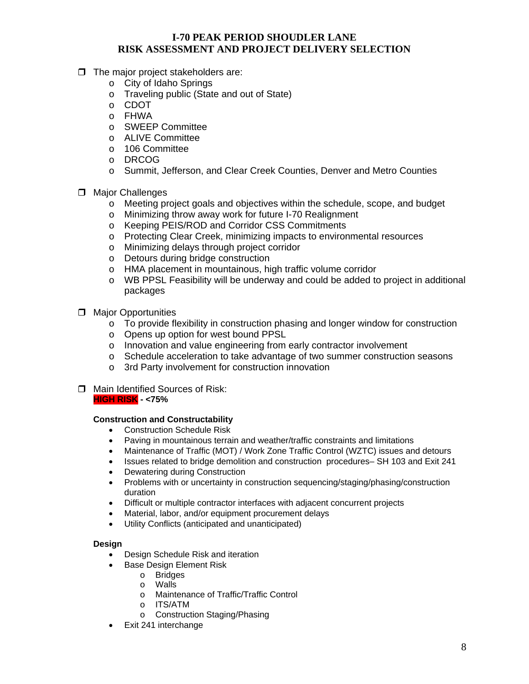- $\Box$  The major project stakeholders are:
	- o City of Idaho Springs
	- o Traveling public (State and out of State)
	- o CDOT
	- o FHWA
	- o SWEEP Committee
	- o ALIVE Committee
	- o 106 Committee
	- o DRCOG
	- o Summit, Jefferson, and Clear Creek Counties, Denver and Metro Counties
- $\Box$  Major Challenges
	- o Meeting project goals and objectives within the schedule, scope, and budget
	- o Minimizing throw away work for future I-70 Realignment
	- o Keeping PEIS/ROD and Corridor CSS Commitments
	- o Protecting Clear Creek, minimizing impacts to environmental resources
	- o Minimizing delays through project corridor
	- o Detours during bridge construction
	- o HMA placement in mountainous, high traffic volume corridor
	- o WB PPSL Feasibility will be underway and could be added to project in additional packages
- $\Box$  Major Opportunities
	- $\circ$  To provide flexibility in construction phasing and longer window for construction
	- o Opens up option for west bound PPSL
	- o Innovation and value engineering from early contractor involvement
	- o Schedule acceleration to take advantage of two summer construction seasons
	- o 3rd Party involvement for construction innovation
- □ Main Identified Sources of Risk: **HIGH RISK - <75%**

### **Construction and Constructability**

- Construction Schedule Risk
- Paving in mountainous terrain and weather/traffic constraints and limitations
- Maintenance of Traffic (MOT) / Work Zone Traffic Control (WZTC) issues and detours
- Issues related to bridge demolition and construction procedures– SH 103 and Exit 241
- Dewatering during Construction
- Problems with or uncertainty in construction sequencing/staging/phasing/construction duration
- Difficult or multiple contractor interfaces with adjacent concurrent projects
- Material, labor, and/or equipment procurement delays
- Utility Conflicts (anticipated and unanticipated)

#### **Design**

- Design Schedule Risk and iteration
- **Base Design Element Risk** 
	- o Bridges
	- o Walls
	- o Maintenance of Traffic/Traffic Control
	- o ITS/ATM
	- o Construction Staging/Phasing
- Exit 241 interchange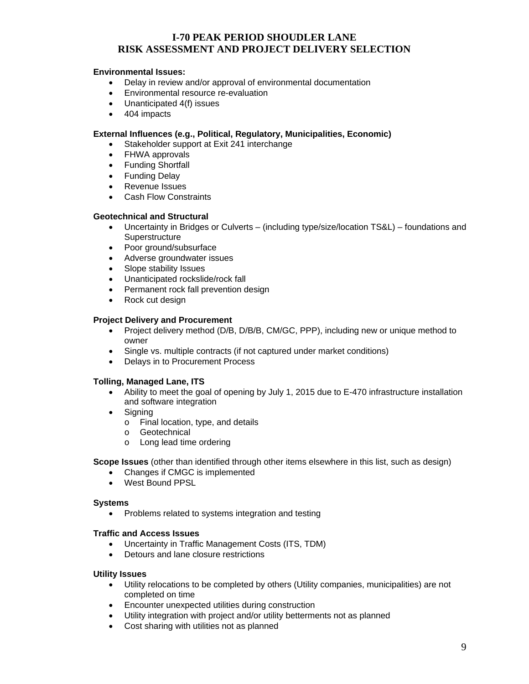#### **Environmental Issues:**

- Delay in review and/or approval of environmental documentation
- **Environmental resource re-evaluation**
- Unanticipated 4(f) issues
- 404 impacts

#### **External Influences (e.g., Political, Regulatory, Municipalities, Economic)**

- Stakeholder support at Exit 241 interchange
- FHWA approvals
- Funding Shortfall
- Funding Delay
- Revenue Issues
- Cash Flow Constraints

#### **Geotechnical and Structural**

- Uncertainty in Bridges or Culverts (including type/size/location TS&L) foundations and **Superstructure**
- Poor ground/subsurface
- Adverse groundwater issues
- Slope stability Issues
- Unanticipated rockslide/rock fall
- Permanent rock fall prevention design
- Rock cut design

#### **Project Delivery and Procurement**

- Project delivery method (D/B, D/B/B, CM/GC, PPP), including new or unique method to owner
- Single vs. multiple contracts (if not captured under market conditions)
- Delays in to Procurement Process

#### **Tolling, Managed Lane, ITS**

- Ability to meet the goal of opening by July 1, 2015 due to E-470 infrastructure installation and software integration
- Signing
	- o Final location, type, and details
	- o Geotechnical
	- o Long lead time ordering

#### **Scope Issues** (other than identified through other items elsewhere in this list, such as design)

- Changes if CMGC is implemented
- West Bound PPSL

#### **Systems**

• Problems related to systems integration and testing

#### **Traffic and Access Issues**

- Uncertainty in Traffic Management Costs (ITS, TDM)
- Detours and lane closure restrictions

#### **Utility Issues**

- Utility relocations to be completed by others (Utility companies, municipalities) are not completed on time
- Encounter unexpected utilities during construction
- Utility integration with project and/or utility betterments not as planned
- Cost sharing with utilities not as planned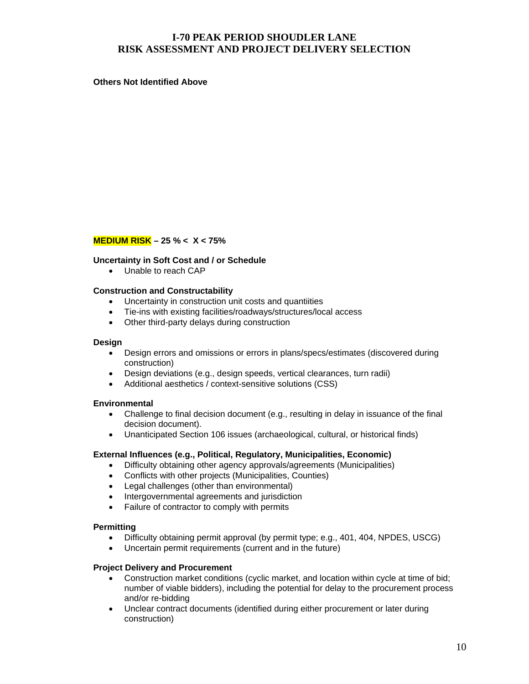**Others Not Identified Above** 

### **MEDIUM RISK – 25 % < X < 75%**

#### **Uncertainty in Soft Cost and / or Schedule**

• Unable to reach CAP

#### **Construction and Constructability**

- Uncertainty in construction unit costs and quantiities
- Tie-ins with existing facilities/roadways/structures/local access
- Other third-party delays during construction

#### **Design**

- Design errors and omissions or errors in plans/specs/estimates (discovered during construction)
- Design deviations (e.g., design speeds, vertical clearances, turn radii)
- Additional aesthetics / context-sensitive solutions (CSS)

#### **Environmental**

- Challenge to final decision document (e.g., resulting in delay in issuance of the final decision document).
- Unanticipated Section 106 issues (archaeological, cultural, or historical finds)

#### **External Influences (e.g., Political, Regulatory, Municipalities, Economic)**

- Difficulty obtaining other agency approvals/agreements (Municipalities)
- Conflicts with other projects (Municipalities, Counties)
- Legal challenges (other than environmental)
- Intergovernmental agreements and jurisdiction
- Failure of contractor to comply with permits

#### **Permitting**

- Difficulty obtaining permit approval (by permit type; e.g., 401, 404, NPDES, USCG)
- Uncertain permit requirements (current and in the future)

#### **Project Delivery and Procurement**

- Construction market conditions (cyclic market, and location within cycle at time of bid; number of viable bidders), including the potential for delay to the procurement process and/or re-bidding
- Unclear contract documents (identified during either procurement or later during construction)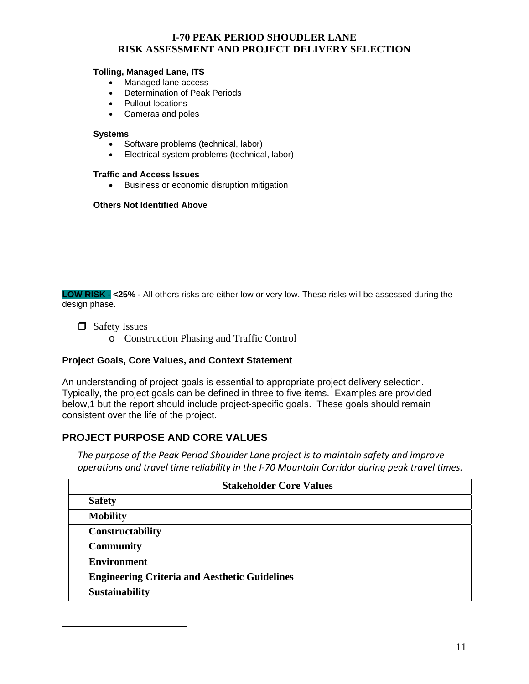#### **Tolling, Managed Lane, ITS**

- Managed lane access
- Determination of Peak Periods
- Pullout locations
- Cameras and poles

#### **Systems**

- Software problems (technical, labor)
- Electrical-system problems (technical, labor)

#### **Traffic and Access Issues**

**•** Business or economic disruption mitigation

#### **Others Not Identified Above**

**LOW RISK - <25% -** All others risks are either low or very low. These risks will be assessed during the design phase.

□ Safety Issues

 $\overline{a}$ 

o Construction Phasing and Traffic Control

### **Project Goals, Core Values, and Context Statement**

An understanding of project goals is essential to appropriate project delivery selection. Typically, the project goals can be defined in three to five items. Examples are provided below,1 but the report should include project-specific goals. These goals should remain consistent over the life of the project.

## **PROJECT PURPOSE AND CORE VALUES**

*The purpose of the Peak Period Shoulder Lane project is to maintain safety and improve operations and travel time reliability in the I‐70 Mountain Corridor during peak travel times.*

| <b>Stakeholder Core Values</b>                       |  |  |
|------------------------------------------------------|--|--|
| <b>Safety</b>                                        |  |  |
| <b>Mobility</b>                                      |  |  |
| Constructability                                     |  |  |
| <b>Community</b>                                     |  |  |
| <b>Environment</b>                                   |  |  |
| <b>Engineering Criteria and Aesthetic Guidelines</b> |  |  |
| <b>Sustainability</b>                                |  |  |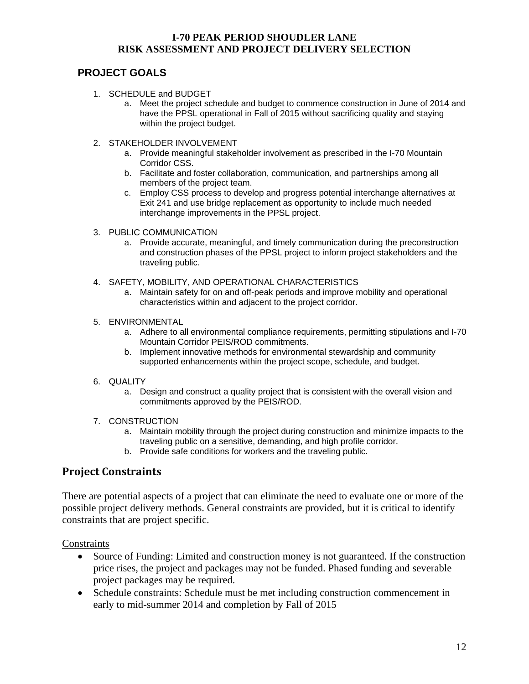## **PROJECT GOALS**

- 1. SCHEDULE and BUDGET
	- a. Meet the project schedule and budget to commence construction in June of 2014 and have the PPSL operational in Fall of 2015 without sacrificing quality and staying within the project budget.
- 2. STAKEHOLDER INVOLVEMENT
	- a. Provide meaningful stakeholder involvement as prescribed in the I-70 Mountain Corridor CSS.
	- b. Facilitate and foster collaboration, communication, and partnerships among all members of the project team.
	- c. Employ CSS process to develop and progress potential interchange alternatives at Exit 241 and use bridge replacement as opportunity to include much needed interchange improvements in the PPSL project.
- 3. PUBLIC COMMUNICATION
	- a. Provide accurate, meaningful, and timely communication during the preconstruction and construction phases of the PPSL project to inform project stakeholders and the traveling public.
- 4. SAFETY, MOBILITY, AND OPERATIONAL CHARACTERISTICS
	- a. Maintain safety for on and off-peak periods and improve mobility and operational characteristics within and adjacent to the project corridor.
- 5. ENVIRONMENTAL
	- a. Adhere to all environmental compliance requirements, permitting stipulations and I-70 Mountain Corridor PEIS/ROD commitments.
	- b. Implement innovative methods for environmental stewardship and community supported enhancements within the project scope, schedule, and budget.
- 6. QUALITY
	- a. Design and construct a quality project that is consistent with the overall vision and commitments approved by the PEIS/ROD.
- ` 7. CONSTRUCTION
	- a. Maintain mobility through the project during construction and minimize impacts to the traveling public on a sensitive, demanding, and high profile corridor.
	- b. Provide safe conditions for workers and the traveling public.

## **Project Constraints**

There are potential aspects of a project that can eliminate the need to evaluate one or more of the possible project delivery methods. General constraints are provided, but it is critical to identify constraints that are project specific.

**Constraints** 

- Source of Funding: Limited and construction money is not guaranteed. If the construction price rises, the project and packages may not be funded. Phased funding and severable project packages may be required.
- Schedule constraints: Schedule must be met including construction commencement in early to mid-summer 2014 and completion by Fall of 2015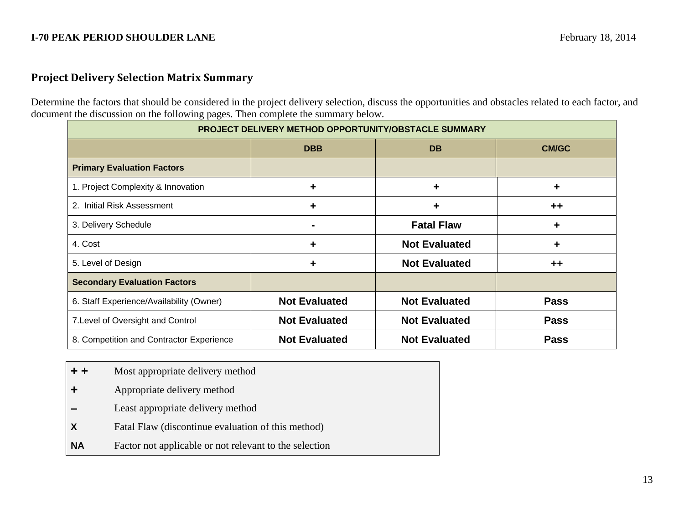## **Project Delivery Selection Matrix Summary**

Determine the factors that should be considered in the project delivery selection, discuss the opportunities and obstacles related to each factor, and document the discussion on the following pages. Then complete the summary below.

| <b>PROJECT DELIVERY METHOD OPPORTUNITY/OBSTACLE SUMMARY</b> |                      |                      |              |  |
|-------------------------------------------------------------|----------------------|----------------------|--------------|--|
|                                                             | <b>DBB</b>           | <b>DB</b>            | <b>CM/GC</b> |  |
| <b>Primary Evaluation Factors</b>                           |                      |                      |              |  |
| 1. Project Complexity & Innovation                          | $\ddagger$           | ٠                    | $\ddagger$   |  |
| Initial Risk Assessment<br>2.                               | $\ddagger$           | ٠                    | $++$         |  |
| 3. Delivery Schedule                                        |                      | <b>Fatal Flaw</b>    | ٠            |  |
| 4. Cost                                                     | $\ddagger$           | <b>Not Evaluated</b> | $\ddot{}$    |  |
| 5. Level of Design                                          | ٠                    | <b>Not Evaluated</b> | $++$         |  |
| <b>Secondary Evaluation Factors</b>                         |                      |                      |              |  |
| 6. Staff Experience/Availability (Owner)                    | <b>Not Evaluated</b> | <b>Not Evaluated</b> | <b>Pass</b>  |  |
| 7. Level of Oversight and Control                           | <b>Not Evaluated</b> | <b>Not Evaluated</b> | <b>Pass</b>  |  |
| 8. Competition and Contractor Experience                    | <b>Not Evaluated</b> | <b>Not Evaluated</b> | <b>Pass</b>  |  |

- **+ +**Most appropriate delivery method
- **+** Appropriate delivery method
- **–**Least appropriate delivery method
- **X** Fatal Flaw (discontinue evaluation of this method)
- **NA**Factor not applicable or not relevant to the selection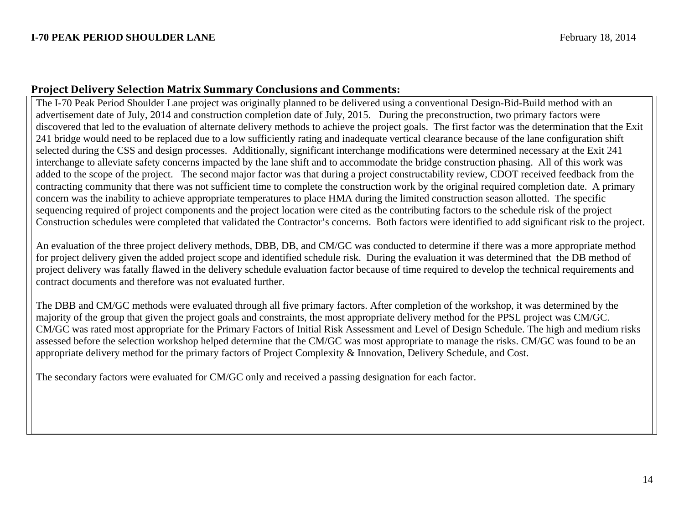## **Project Delivery Selection Matrix Summary Conclusions and Comments:**

The I-70 Peak Period Shoulder Lane project was originally planned to be delivered using a conventional Design-Bid-Build method with an advertisement date of July, 2014 and construction completion date of July, 2015. During the preconstruction, two primary factors were discovered that led to the evaluation of alternate delivery methods to achieve the project goals. The first factor was the determination that the Exit 241 bridge would need to be replaced due to a low sufficiently rating and inadequate vertical clearance because of the lane configuration shift selected during the CSS and design processes. Additionally, significant interchange modifications were determined necessary at the Exit 241 interchange to alleviate safety concerns impacted by the lane shift and to accommodate the bridge construction phasing. All of this work was added to the scope of the project. The second major factor was that during a project constructability review, CDOT received feedback from the contracting community that there was not sufficient time to complete the construction work by the original required completion date. A primary concern was the inability to achieve appropriate temperatures to place HMA during the limited construction season allotted. The specific sequencing required of project components and the project location were cited as the contributing factors to the schedule risk of the project Construction schedules were completed that validated the Contractor's concerns. Both factors were identified to add significant risk to the project.

An evaluation of the three project delivery methods, DBB, DB, and CM/GC was conducted to determine if there was a more appropriate method for project delivery given the added project scope and identified schedule risk. During the evaluation it was determined that the DB method of project delivery was fatally flawed in the delivery schedule evaluation factor because of time required to develop the technical requirements and contract documents and therefore was not evaluated further.

The DBB and CM/GC methods were evaluated through all five primary factors. After completion of the workshop, it was determined by the majority of the group that given the project goals and constraints, the most appropriate delivery method for the PPSL project was CM/GC. CM/GC was rated most appropriate for the Primary Factors of Initial Risk Assessment and Level of Design Schedule. The high and medium risks assessed before the selection workshop helped determine that the CM/GC was most appropriate to manage the risks. CM/GC was found to be an appropriate delivery method for the primary factors of Project Complexity & Innovation, Delivery Schedule, and Cost.

The secondary factors were evaluated for CM/GC only and received a passing designation for each factor.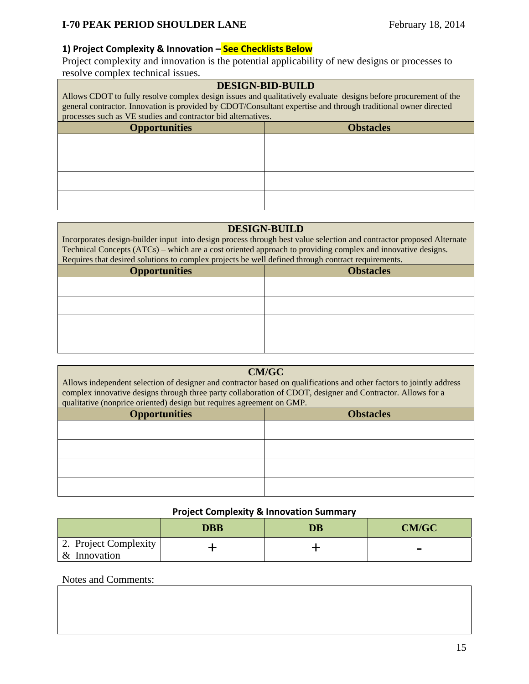### **1) Project Complexity & Innovation – See Checklists Below**

Project complexity and innovation is the potential applicability of new designs or processes to resolve complex technical issues.

| <b>DESIGN-BID-BUILD</b> |  |
|-------------------------|--|
|-------------------------|--|

Allows CDOT to fully resolve complex design issues and qualitatively evaluate designs before procurement of the general contractor. Innovation is provided by CDOT/Consultant expertise and through traditional owner directed processes such as VE studies and contractor bid alternatives.

| <b>Opportunities</b> | <b>Obstacles</b> |
|----------------------|------------------|
|                      |                  |
|                      |                  |
|                      |                  |
|                      |                  |

### **DESIGN-BUILD**

Incorporates design-builder input into design process through best value selection and contractor proposed Alternate Technical Concepts (ATCs) – which are a cost oriented approach to providing complex and innovative designs. Requires that desired solutions to complex projects be well defined through contract requirements.

| <b>Opportunities</b> | <b>Obstacles</b> |
|----------------------|------------------|
|                      |                  |
|                      |                  |
|                      |                  |
|                      |                  |

### **CM/GC**

Allows independent selection of designer and contractor based on qualifications and other factors to jointly address complex innovative designs through three party collaboration of CDOT, designer and Contractor. Allows for a qualitative (nonprice oriented) design but requires agreement on GMP.

| <b>Opportunities</b> | <b>Obstacles</b> |  |
|----------------------|------------------|--|
|                      |                  |  |
|                      |                  |  |
|                      |                  |  |
|                      |                  |  |
|                      |                  |  |

### **Project Complexity & Innovation Summary**

|                                       | DBB | <b>DB</b> | <b>CM/GC</b> |
|---------------------------------------|-----|-----------|--------------|
| 2. Project Complexity<br>& Innovation |     |           |              |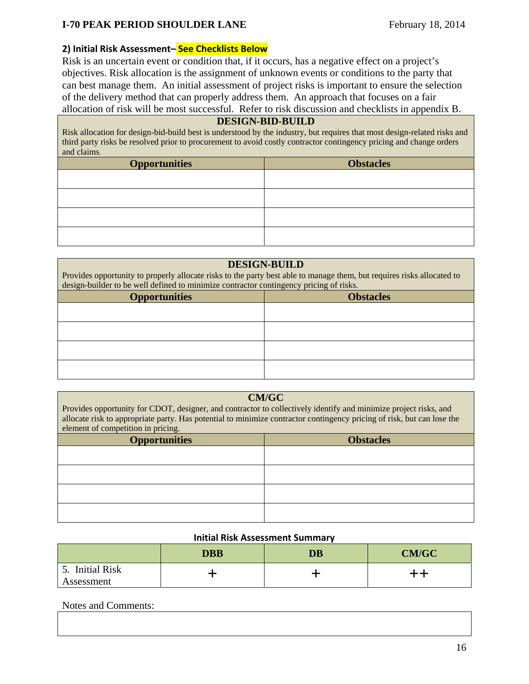## **2) Initial Risk Assessment– See Checklists Below**

Risk is an uncertain event or condition that, if it occurs, has a negative effect on a project's objectives. Risk allocation is the assignment of unknown events or conditions to the party that can best manage them. An initial assessment of project risks is important to ensure the selection of the delivery method that can properly address them. An approach that focuses on a fair allocation of risk will be most successful. Refer to risk discussion and checklists in appendix B.

### **DESIGN-BID-BUILD**

Risk allocation for design-bid-build best is understood by the industry, but requires that most design-related risks and third party risks be resolved prior to procurement to avoid costly contractor contingency pricing and change orders and claims.

| <b>Opportunities</b> | <b>Obstacles</b> |
|----------------------|------------------|
|                      |                  |
|                      |                  |
|                      |                  |
|                      |                  |

### **DESIGN-BUILD**

Provides opportunity to properly allocate risks to the party best able to manage them, but requires risks allocated to design-builder to be well defined to minimize contractor contingency pricing of risks.

| <b>Opportunities</b> | <b>Obstacles</b> |
|----------------------|------------------|
|                      |                  |
|                      |                  |
|                      |                  |
|                      |                  |
|                      |                  |

## **CM/GC**

Provides opportunity for CDOT, designer, and contractor to collectively identify and minimize project risks, and allocate risk to appropriate party. Has potential to minimize contractor contingency pricing of risk, but can lose the element of competition in pricing.

| <b>Opportunities</b> | <b>Obstacles</b> |
|----------------------|------------------|
|                      |                  |
|                      |                  |
|                      |                  |
|                      |                  |

### **Initial Risk Assessment Summary**

|                                               | <b>DBB</b> | <b>DB</b> | <b>CM/GC</b> |
|-----------------------------------------------|------------|-----------|--------------|
| <b>Initial Risk</b><br><u>.</u><br>Assessment |            |           |              |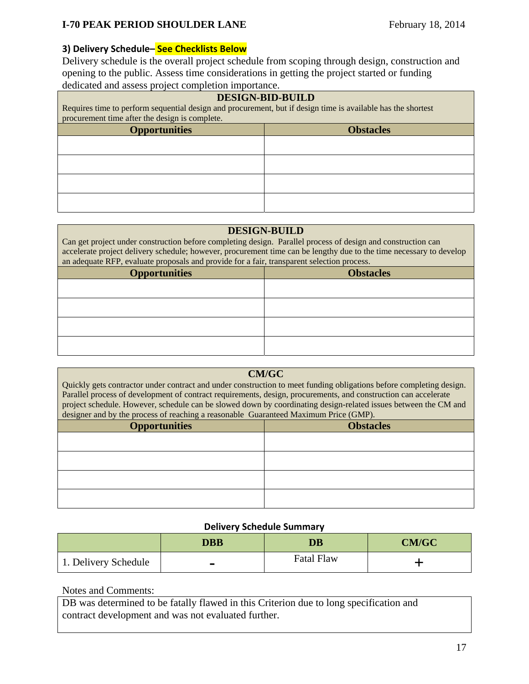## **3) Delivery Schedule– See Checklists Below**

Delivery schedule is the overall project schedule from scoping through design, construction and opening to the public. Assess time considerations in getting the project started or funding dedicated and assess project completion importance.

| <b>DESIGN-BID-BUILD</b><br>Requires time to perform sequential design and procurement, but if design time is available has the shortest<br>procurement time after the design is complete. |  |  |  |
|-------------------------------------------------------------------------------------------------------------------------------------------------------------------------------------------|--|--|--|
| <b>Opportunities</b><br><b>Obstacles</b>                                                                                                                                                  |  |  |  |
|                                                                                                                                                                                           |  |  |  |
|                                                                                                                                                                                           |  |  |  |
|                                                                                                                                                                                           |  |  |  |
|                                                                                                                                                                                           |  |  |  |

### **DESIGN-BUILD**

Can get project under construction before completing design. Parallel process of design and construction can accelerate project delivery schedule; however, procurement time can be lengthy due to the time necessary to develop an adequate RFP, evaluate proposals and provide for a fair, transparent selection process.

| <b>Opportunities</b> | <b>Obstacles</b> |
|----------------------|------------------|
|                      |                  |
|                      |                  |
|                      |                  |
|                      |                  |

### **CM/GC**

Quickly gets contractor under contract and under construction to meet funding obligations before completing design. Parallel process of development of contract requirements, design, procurements, and construction can accelerate project schedule. However, schedule can be slowed down by coordinating design-related issues between the CM and designer and by the process of reaching a reasonable Guaranteed Maximum Price (GMP).

| <b>Opportunities</b> | <b>Obstacles</b> |
|----------------------|------------------|
|                      |                  |
|                      |                  |
|                      |                  |
|                      |                  |

### **Delivery Schedule Summary**

|                      | <b>DBB</b> | $\overline{\mathbf{D}}\mathbf{B}$ | <b>CM/GC</b> |
|----------------------|------------|-----------------------------------|--------------|
| 1. Delivery Schedule |            | <b>Fatal Flaw</b>                 |              |

### Notes and Comments:

DB was determined to be fatally flawed in this Criterion due to long specification and contract development and was not evaluated further.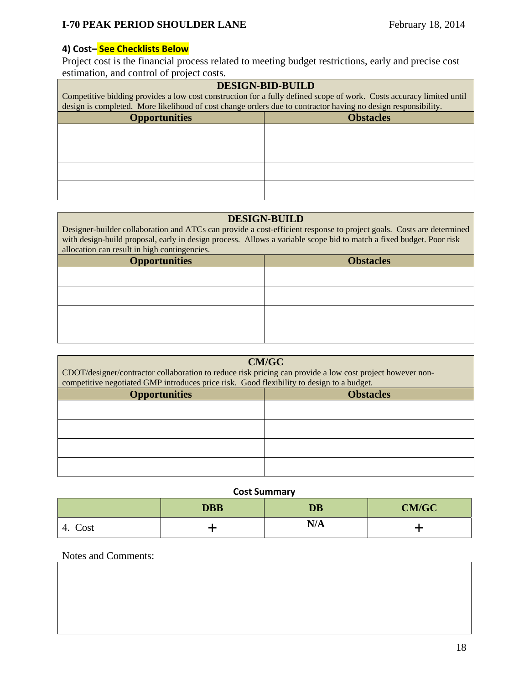## **4) Cost– See Checklists Below**

Project cost is the financial process related to meeting budget restrictions, early and precise cost estimation, and control of project costs.

| <b>DESIGN-BID-BUILD</b><br>Competitive bidding provides a low cost construction for a fully defined scope of work. Costs accuracy limited until<br>design is completed. More likelihood of cost change orders due to contractor having no design responsibility. |  |  |
|------------------------------------------------------------------------------------------------------------------------------------------------------------------------------------------------------------------------------------------------------------------|--|--|
| <b>Opportunities</b><br><b>Obstacles</b>                                                                                                                                                                                                                         |  |  |
|                                                                                                                                                                                                                                                                  |  |  |
|                                                                                                                                                                                                                                                                  |  |  |
|                                                                                                                                                                                                                                                                  |  |  |
|                                                                                                                                                                                                                                                                  |  |  |

### **DESIGN-BUILD**

Designer-builder collaboration and ATCs can provide a cost-efficient response to project goals. Costs are determined with design-build proposal, early in design process. Allows a variable scope bid to match a fixed budget. Poor risk allocation can result in high contingencies.

| <b>Opportunities</b> | <b>Obstacles</b> |  |
|----------------------|------------------|--|
|                      |                  |  |
|                      |                  |  |
|                      |                  |  |
|                      |                  |  |
|                      |                  |  |

| <b>CM/GC</b><br>CDOT/designer/contractor collaboration to reduce risk pricing can provide a low cost project however non-<br>competitive negotiated GMP introduces price risk. Good flexibility to design to a budget. |                  |  |  |
|------------------------------------------------------------------------------------------------------------------------------------------------------------------------------------------------------------------------|------------------|--|--|
| <b>Opportunities</b>                                                                                                                                                                                                   | <b>Obstacles</b> |  |  |
|                                                                                                                                                                                                                        |                  |  |  |
|                                                                                                                                                                                                                        |                  |  |  |
|                                                                                                                                                                                                                        |                  |  |  |
|                                                                                                                                                                                                                        |                  |  |  |

### **Cost Summary**

|                      | <b>DBB</b> | <b>DB</b> | <b>CM/GC</b> |
|----------------------|------------|-----------|--------------|
| $\sim$<br>Cost<br>4. |            | N/A       |              |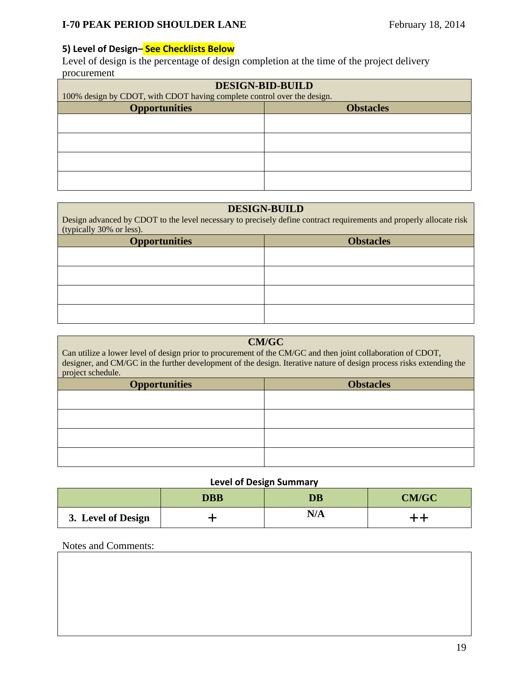## **5) Level of Design– See Checklists Below**

Level of design is the percentage of design completion at the time of the project delivery procurement

| <b>DESIGN-BID-BUILD</b><br>100% design by CDOT, with CDOT having complete control over the design. |  |  |  |
|----------------------------------------------------------------------------------------------------|--|--|--|
| <b>Opportunities</b><br><b>Obstacles</b>                                                           |  |  |  |
|                                                                                                    |  |  |  |
|                                                                                                    |  |  |  |
|                                                                                                    |  |  |  |
|                                                                                                    |  |  |  |

## **DESIGN-BUILD**

| Design advanced by CDOT to the level necessary to precisely define contract requirements and properly allocate risk<br>(typically 30% or less). |                  |  |  |
|-------------------------------------------------------------------------------------------------------------------------------------------------|------------------|--|--|
| <b>Opportunities</b>                                                                                                                            | <b>Obstacles</b> |  |  |
|                                                                                                                                                 |                  |  |  |
|                                                                                                                                                 |                  |  |  |
|                                                                                                                                                 |                  |  |  |
|                                                                                                                                                 |                  |  |  |

| <b>CM/GC</b><br>Can utilize a lower level of design prior to procurement of the CM/GC and then joint collaboration of CDOT,<br>designer, and CM/GC in the further development of the design. Iterative nature of design process risks extending the<br>project schedule. |  |  |  |
|--------------------------------------------------------------------------------------------------------------------------------------------------------------------------------------------------------------------------------------------------------------------------|--|--|--|
| <b>Obstacles</b><br><b>Opportunities</b>                                                                                                                                                                                                                                 |  |  |  |
|                                                                                                                                                                                                                                                                          |  |  |  |
|                                                                                                                                                                                                                                                                          |  |  |  |
|                                                                                                                                                                                                                                                                          |  |  |  |
|                                                                                                                                                                                                                                                                          |  |  |  |

## **Level of Design Summary**

|                    | <b>DBB</b> | <b>DB</b> | <b>CM/GC</b> |
|--------------------|------------|-----------|--------------|
| 3. Level of Design |            | N/A       |              |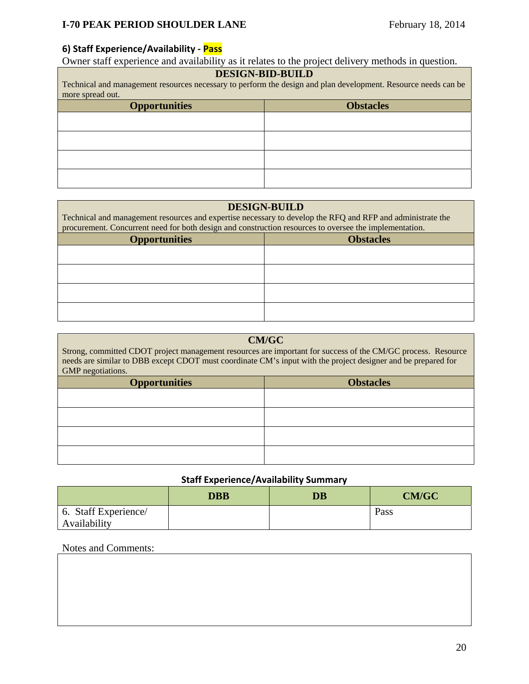## **6) Staff Experience/Availability ‐ Pass**

Owner staff experience and availability as it relates to the project delivery methods in question.

# **DESIGN-BID-BUILD**

| Technical and management resources necessary to perform the design and plan development. Resource needs can be |  |  |
|----------------------------------------------------------------------------------------------------------------|--|--|
| more spread out.                                                                                               |  |  |
| <b>Obstacles</b><br><b>Opportunities</b>                                                                       |  |  |
|                                                                                                                |  |  |

## **DESIGN-BUILD**

| Technical and management resources and expertise necessary to develop the RFQ and RFP and administrate the<br>procurement. Concurrent need for both design and construction resources to oversee the implementation. |  |  |
|----------------------------------------------------------------------------------------------------------------------------------------------------------------------------------------------------------------------|--|--|
| <b>Obstacles</b><br><b>Opportunities</b>                                                                                                                                                                             |  |  |
|                                                                                                                                                                                                                      |  |  |
|                                                                                                                                                                                                                      |  |  |
|                                                                                                                                                                                                                      |  |  |
|                                                                                                                                                                                                                      |  |  |

| <b>CM/GC</b><br>Strong, committed CDOT project management resources are important for success of the CM/GC process. Resource<br>needs are similar to DBB except CDOT must coordinate CM's input with the project designer and be prepared for<br>GMP negotiations. |  |  |
|--------------------------------------------------------------------------------------------------------------------------------------------------------------------------------------------------------------------------------------------------------------------|--|--|
| <b>Obstacles</b><br><b>Opportunities</b>                                                                                                                                                                                                                           |  |  |
|                                                                                                                                                                                                                                                                    |  |  |
|                                                                                                                                                                                                                                                                    |  |  |
|                                                                                                                                                                                                                                                                    |  |  |
|                                                                                                                                                                                                                                                                    |  |  |

# **Staff Experience/Availability Summary**

|                      | <b>DBB</b> | $\overline{\mathbf{D}}\mathbf{B}$ | <b>CM/GC</b> |
|----------------------|------------|-----------------------------------|--------------|
| 6. Staff Experience/ |            |                                   | Pass         |
| Availability         |            |                                   |              |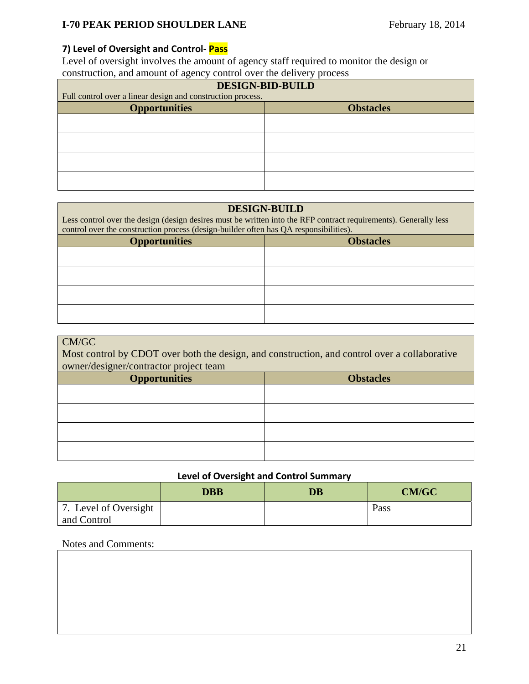## **7) Level of Oversight and Control‐ Pass**

Level of oversight involves the amount of agency staff required to monitor the design or construction, and amount of agency control over the delivery process

| <b>DESIGN-BID-BUILD</b><br>Full control over a linear design and construction process. |  |  |
|----------------------------------------------------------------------------------------|--|--|
| <b>Opportunities</b><br><b>Obstacles</b>                                               |  |  |
|                                                                                        |  |  |
|                                                                                        |  |  |
|                                                                                        |  |  |
|                                                                                        |  |  |

### **DESIGN-BUILD**

Less control over the design (design desires must be written into the RFP contract requirements). Generally less control over the construction process (design-builder often has QA responsibilities).

| <b>Opportunities</b> | <b>Obstacles</b> |
|----------------------|------------------|
|                      |                  |
|                      |                  |
|                      |                  |
|                      |                  |

## CM/GC

Most control by CDOT over both the design, and construction, and control over a collaborative owner/designer/contractor project team

| <b>Opportunities</b> | <b>Obstacles</b> |
|----------------------|------------------|
|                      |                  |
|                      |                  |
|                      |                  |
|                      |                  |
|                      |                  |

## **Level of Oversight and Control Summary**

|                       | <b>DBB</b> | <b>DB</b> | <b>CM/GC</b> |
|-----------------------|------------|-----------|--------------|
| 7. Level of Oversight |            |           | Pass         |
| and Control           |            |           |              |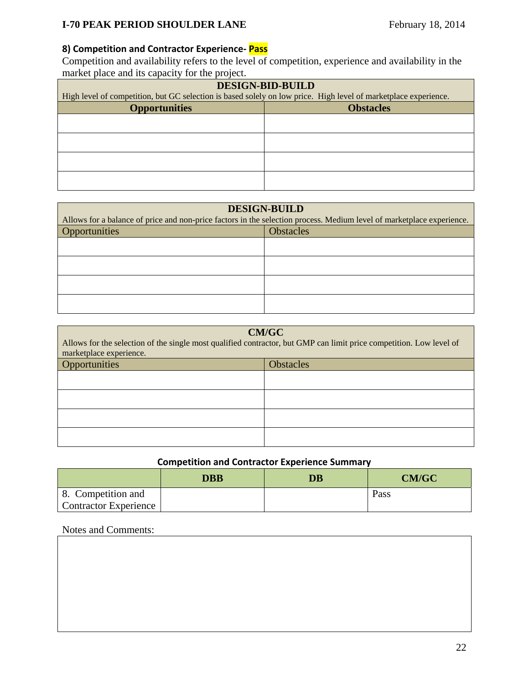# **8) Competition and Contractor Experience‐ Pass**

Competition and availability refers to the level of competition, experience and availability in the market place and its capacity for the project.

| <b>DESIGN-BID-BUILD</b>                                                                                         |  |  |
|-----------------------------------------------------------------------------------------------------------------|--|--|
| High level of competition, but GC selection is based solely on low price. High level of marketplace experience. |  |  |
| <b>Opportunities</b><br><b>Obstacles</b>                                                                        |  |  |
|                                                                                                                 |  |  |
|                                                                                                                 |  |  |
|                                                                                                                 |  |  |
|                                                                                                                 |  |  |
|                                                                                                                 |  |  |
|                                                                                                                 |  |  |
|                                                                                                                 |  |  |

| <b>DESIGN-BUILD</b>                                                                                                   |                  |  |
|-----------------------------------------------------------------------------------------------------------------------|------------------|--|
| Allows for a balance of price and non-price factors in the selection process. Medium level of marketplace experience. |                  |  |
| Opportunities                                                                                                         | <b>Obstacles</b> |  |
|                                                                                                                       |                  |  |
|                                                                                                                       |                  |  |
|                                                                                                                       |                  |  |
|                                                                                                                       |                  |  |

| <b>CM/GC</b><br>Allows for the selection of the single most qualified contractor, but GMP can limit price competition. Low level of<br>marketplace experience. |  |  |
|----------------------------------------------------------------------------------------------------------------------------------------------------------------|--|--|
| Opportunities<br><b>Obstacles</b>                                                                                                                              |  |  |
|                                                                                                                                                                |  |  |
|                                                                                                                                                                |  |  |
|                                                                                                                                                                |  |  |
|                                                                                                                                                                |  |  |

## **Competition and Contractor Experience Summary**

|                              | <b>DBB</b> | <b>DB</b> | <b>CM/GC</b> |
|------------------------------|------------|-----------|--------------|
| 8. Competition and           |            |           | Pass         |
| <b>Contractor Experience</b> |            |           |              |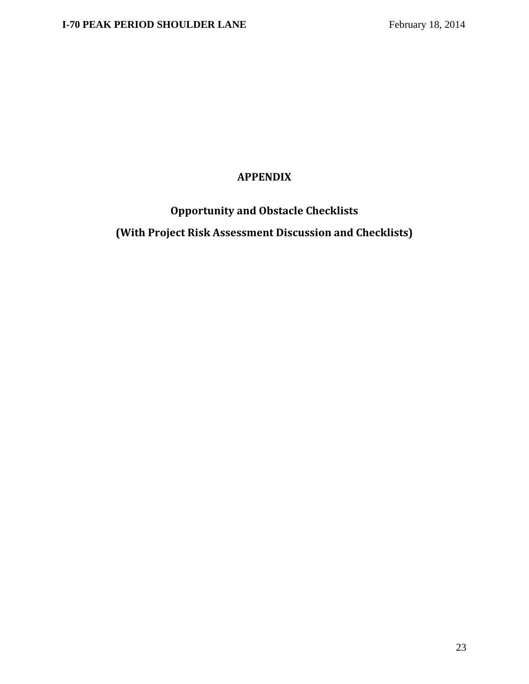# **APPENDIX**

**Opportunity and Obstacle Checklists (With Project Risk Assessment Discussion and Checklists)**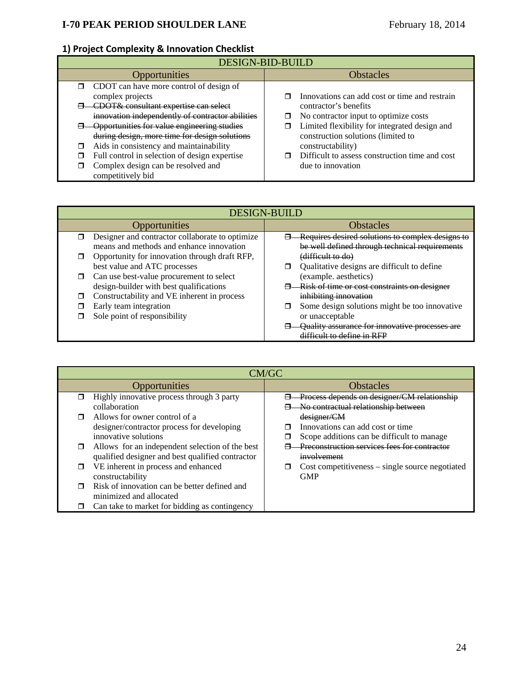# **1) Project Complexity & Innovation Checklist**

| <b>DESIGN-BID-BUILD</b> |                                                    |    |                                                |
|-------------------------|----------------------------------------------------|----|------------------------------------------------|
| <b>Opportunities</b>    |                                                    |    | <b>Obstacles</b>                               |
|                         | $\Box$ CDOT can have more control of design of     |    |                                                |
|                         | complex projects                                   |    | Innovations can add cost or time and restrain  |
|                         | CDOT& consultant expertise can select              |    | contractor's benefits                          |
|                         | innovation independently of contractor abilities   | □  | No contractor input to optimize costs          |
|                         | <b>Opportunities for value engineering studies</b> |    | Limited flexibility for integrated design and  |
|                         | during design, more time for design solutions      |    | construction solutions (limited to             |
|                         | Aids in consistency and maintainability            |    | constructability)                              |
|                         | Full control in selection of design expertise      | O. | Difficult to assess construction time and cost |
|                         | Complex design can be resolved and                 |    | due to innovation                              |
|                         | competitively bid                                  |    |                                                |

|        | <b>DESIGN-BUILD</b>                                                                         |  |                                                                                                    |  |
|--------|---------------------------------------------------------------------------------------------|--|----------------------------------------------------------------------------------------------------|--|
|        | Opportunities                                                                               |  | <b>Obstacles</b>                                                                                   |  |
| ⊓      | Designer and contractor collaborate to optimize<br>means and methods and enhance innovation |  | Requires desired solutions to complex designs to<br>be well defined through technical requirements |  |
|        | Opportunity for innovation through draft RFP,                                               |  | (difficult to do)                                                                                  |  |
|        | best value and ATC processes                                                                |  | Qualitative designs are difficult to define                                                        |  |
| $\Box$ | Can use best-value procurement to select                                                    |  | (example. aesthetics)                                                                              |  |
|        | design-builder with best qualifications                                                     |  | Risk of time or cost constraints on designer                                                       |  |
|        | Constructability and VE inherent in process                                                 |  | inhibiting innovation                                                                              |  |
|        | Early team integration                                                                      |  | Some design solutions might be too innovative                                                      |  |
|        | Sole point of responsibility                                                                |  | or unacceptable                                                                                    |  |
|        |                                                                                             |  | <b>Ouality assurance for innovative processes</b>                                                  |  |
|        |                                                                                             |  | difficult to define in RFP                                                                         |  |

|   | CM/GC                                            |  |                                                     |  |
|---|--------------------------------------------------|--|-----------------------------------------------------|--|
|   | Opportunities                                    |  | <b>Obstacles</b>                                    |  |
|   | Highly innovative process through 3 party        |  | Process depends on designer/CM relationship         |  |
|   | collaboration                                    |  | No contractual relationship between                 |  |
|   | Allows for owner control of a                    |  | designer/CM                                         |  |
|   | designer/contractor process for developing       |  | Innovations can add cost or time                    |  |
|   | innovative solutions                             |  | Scope additions can be difficult to manage.         |  |
| П | Allows for an independent selection of the best  |  | Preconstruction services fees for contractor        |  |
|   | qualified designer and best qualified contractor |  | involvement                                         |  |
| ⊓ | VE inherent in process and enhanced              |  | $Cost$ competitiveness $-$ single source negotiated |  |
|   | constructability                                 |  | <b>GMP</b>                                          |  |
|   | Risk of innovation can be better defined and     |  |                                                     |  |
|   | minimized and allocated                          |  |                                                     |  |
|   | Can take to market for bidding as contingency    |  |                                                     |  |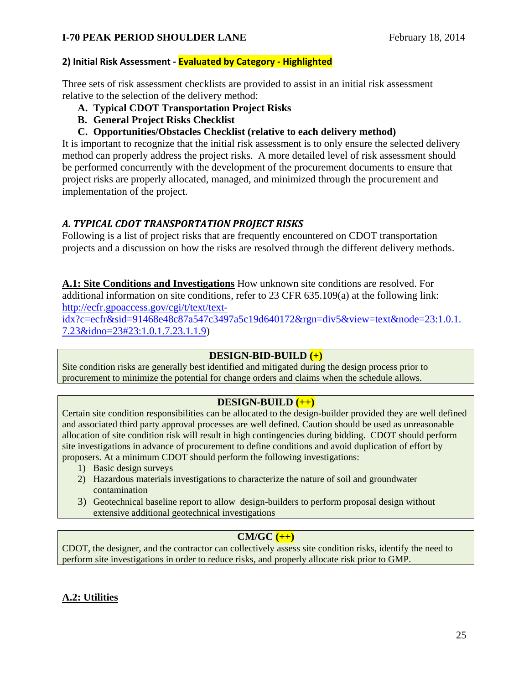## **2) Initial Risk Assessment ‐ Evaluated by Category ‐ Highlighted**

Three sets of risk assessment checklists are provided to assist in an initial risk assessment relative to the selection of the delivery method:

- **A. Typical CDOT Transportation Project Risks**
- **B. General Project Risks Checklist**
- **C. Opportunities/Obstacles Checklist (relative to each delivery method)**

It is important to recognize that the initial risk assessment is to only ensure the selected delivery method can properly address the project risks. A more detailed level of risk assessment should be performed concurrently with the development of the procurement documents to ensure that project risks are properly allocated, managed, and minimized through the procurement and implementation of the project.

## *A. TYPICAL CDOT TRANSPORTATION PROJECT RISKS*

Following is a list of project risks that are frequently encountered on CDOT transportation projects and a discussion on how the risks are resolved through the different delivery methods.

**A.1: Site Conditions and Investigations** How unknown site conditions are resolved. For additional information on site conditions, refer to 23 CFR 635.109(a) at the following link: http://ecfr.gpoaccess.gov/cgi/t/text/textidx?c=ecfr&sid=91468e48c87a547c3497a5c19d640172&rgn=div5&view=text&node=23:1.0.1.

7.23&idno=23#23:1.0.1.7.23.1.1.9)

### **DESIGN-BID-BUILD (+)**

Site condition risks are generally best identified and mitigated during the design process prior to procurement to minimize the potential for change orders and claims when the schedule allows.

## **DESIGN-BUILD (++)**

Certain site condition responsibilities can be allocated to the design-builder provided they are well defined and associated third party approval processes are well defined. Caution should be used as unreasonable allocation of site condition risk will result in high contingencies during bidding. CDOT should perform site investigations in advance of procurement to define conditions and avoid duplication of effort by proposers. At a minimum CDOT should perform the following investigations:

- 1) Basic design surveys
- 2) Hazardous materials investigations to characterize the nature of soil and groundwater contamination
- 3) Geotechnical baseline report to allow design-builders to perform proposal design without extensive additional geotechnical investigations

## **CM/GC (++)**

CDOT, the designer, and the contractor can collectively assess site condition risks, identify the need to perform site investigations in order to reduce risks, and properly allocate risk prior to GMP.

## **A.2: Utilities**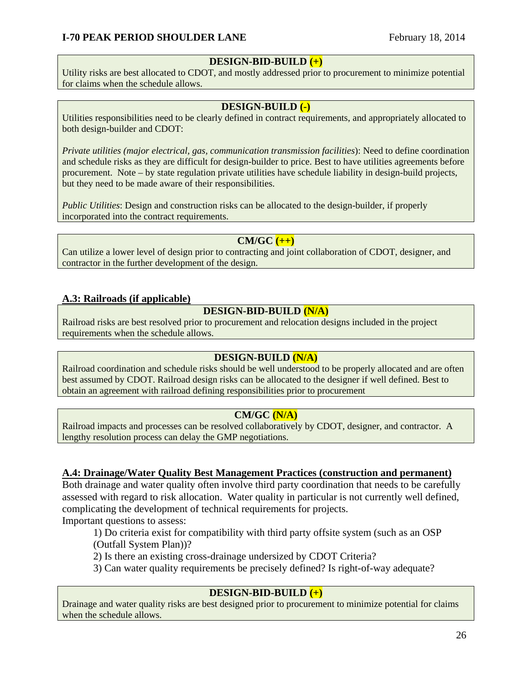## **DESIGN-BID-BUILD (+)**

Utility risks are best allocated to CDOT, and mostly addressed prior to procurement to minimize potential for claims when the schedule allows.

## **DESIGN-BUILD (-)**

Utilities responsibilities need to be clearly defined in contract requirements, and appropriately allocated to both design-builder and CDOT:

*Private utilities (major electrical, gas, communication transmission facilities*): Need to define coordination and schedule risks as they are difficult for design-builder to price. Best to have utilities agreements before procurement. Note – by state regulation private utilities have schedule liability in design-build projects, but they need to be made aware of their responsibilities.

*Public Utilities*: Design and construction risks can be allocated to the design-builder, if properly incorporated into the contract requirements.

## **CM/GC (++)**

Can utilize a lower level of design prior to contracting and joint collaboration of CDOT, designer, and contractor in the further development of the design.

## **A.3: Railroads (if applicable)**

## **DESIGN-BID-BUILD (N/A)**

Railroad risks are best resolved prior to procurement and relocation designs included in the project requirements when the schedule allows.

### **DESIGN-BUILD (N/A)**

Railroad coordination and schedule risks should be well understood to be properly allocated and are often best assumed by CDOT. Railroad design risks can be allocated to the designer if well defined. Best to obtain an agreement with railroad defining responsibilities prior to procurement

### **CM/GC (N/A)**

Railroad impacts and processes can be resolved collaboratively by CDOT, designer, and contractor. A lengthy resolution process can delay the GMP negotiations.

### **A.4: Drainage/Water Quality Best Management Practices (construction and permanent)**

Both drainage and water quality often involve third party coordination that needs to be carefully assessed with regard to risk allocation. Water quality in particular is not currently well defined, complicating the development of technical requirements for projects.

Important questions to assess:

1) Do criteria exist for compatibility with third party offsite system (such as an OSP (Outfall System Plan))?

2) Is there an existing cross-drainage undersized by CDOT Criteria?

3) Can water quality requirements be precisely defined? Is right-of-way adequate?

## **DESIGN-BID-BUILD (+)**

Drainage and water quality risks are best designed prior to procurement to minimize potential for claims when the schedule allows.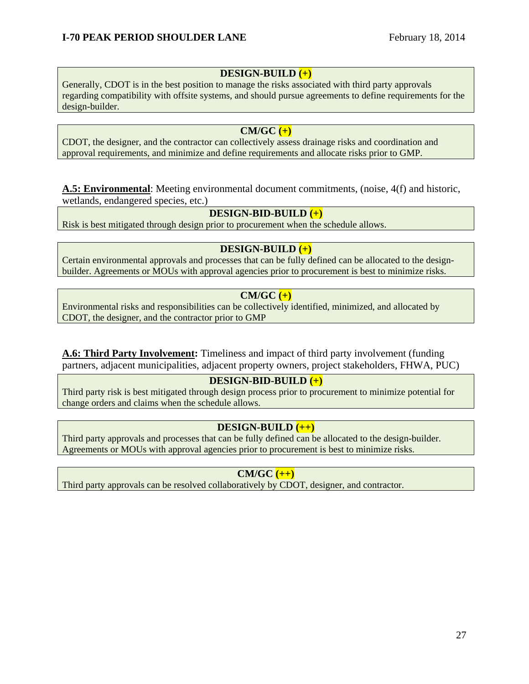## **DESIGN-BUILD (+)**

Generally, CDOT is in the best position to manage the risks associated with third party approvals regarding compatibility with offsite systems, and should pursue agreements to define requirements for the design-builder.

## **CM/GC (+)**

CDOT, the designer, and the contractor can collectively assess drainage risks and coordination and approval requirements, and minimize and define requirements and allocate risks prior to GMP.

### **A.5: Environmental**: Meeting environmental document commitments, (noise, 4(f) and historic, wetlands, endangered species, etc.)

## **DESIGN-BID-BUILD (+)**

Risk is best mitigated through design prior to procurement when the schedule allows.

## **DESIGN-BUILD (+)**

Certain environmental approvals and processes that can be fully defined can be allocated to the designbuilder. Agreements or MOUs with approval agencies prior to procurement is best to minimize risks.

## **CM/GC (+)**

Environmental risks and responsibilities can be collectively identified, minimized, and allocated by CDOT, the designer, and the contractor prior to GMP

**A.6: Third Party Involvement:** Timeliness and impact of third party involvement (funding partners, adjacent municipalities, adjacent property owners, project stakeholders, FHWA, PUC)

## **DESIGN-BID-BUILD (+)**

Third party risk is best mitigated through design process prior to procurement to minimize potential for change orders and claims when the schedule allows.

## **DESIGN-BUILD (++)**

Third party approvals and processes that can be fully defined can be allocated to the design-builder. Agreements or MOUs with approval agencies prior to procurement is best to minimize risks.

## **CM/GC (++)**

Third party approvals can be resolved collaboratively by CDOT, designer, and contractor.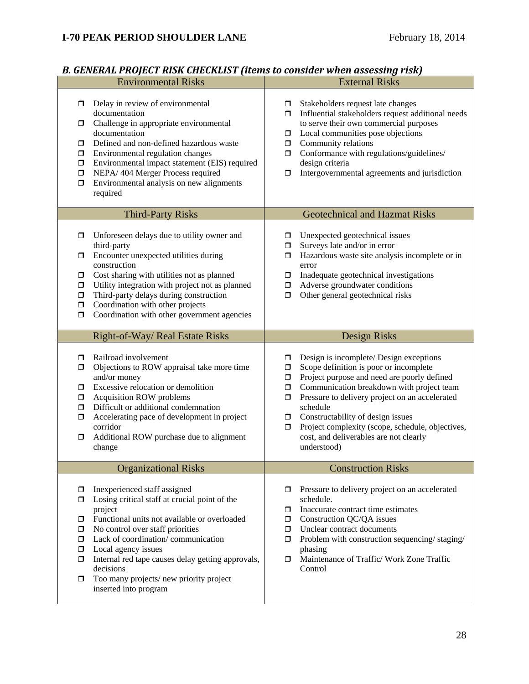| <i>D. GENERAL I KOJECT KIJK CHECKEIJT (KUMS W CONSIGU WACH GSSCSSING FISK)</i><br><b>Environmental Risks</b>                                                                                                                                                                                                                                                                                                                     | <b>External Risks</b>                                                                                                                                                                                                                                                                                                                                                                                                                                 |
|----------------------------------------------------------------------------------------------------------------------------------------------------------------------------------------------------------------------------------------------------------------------------------------------------------------------------------------------------------------------------------------------------------------------------------|-------------------------------------------------------------------------------------------------------------------------------------------------------------------------------------------------------------------------------------------------------------------------------------------------------------------------------------------------------------------------------------------------------------------------------------------------------|
| Delay in review of environmental<br>$\Box$<br>documentation<br>Challenge in appropriate environmental<br>$\Box$<br>documentation<br>Defined and non-defined hazardous waste<br>σ<br>Environmental regulation changes<br>$\Box$<br>Environmental impact statement (EIS) required<br>$\Box$<br>NEPA/ 404 Merger Process required<br>$\Box$<br>Environmental analysis on new alignments<br>$\Box$<br>required                       | Stakeholders request late changes<br>□<br>Influential stakeholders request additional needs<br>$\Box$<br>to serve their own commercial purposes<br>Local communities pose objections<br>$\Box$<br>Community relations<br>$\Box$<br>Conformance with regulations/guidelines/<br>$\Box$<br>design criteria<br>Intergovernmental agreements and jurisdiction<br>σ                                                                                        |
| <b>Third-Party Risks</b>                                                                                                                                                                                                                                                                                                                                                                                                         | <b>Geotechnical and Hazmat Risks</b>                                                                                                                                                                                                                                                                                                                                                                                                                  |
| Unforeseen delays due to utility owner and<br>□<br>third-party<br>Encounter unexpected utilities during<br>□<br>construction<br>Cost sharing with utilities not as planned<br>□<br>Utility integration with project not as planned<br>$\Box$<br>Third-party delays during construction<br>$\Box$<br>Coordination with other projects<br>$\Box$<br>Coordination with other government agencies<br>$\Box$                          | Unexpected geotechnical issues<br>□<br>Surveys late and/or in error<br>$\Box$<br>Hazardous waste site analysis incomplete or in<br>0<br>error<br>Inadequate geotechnical investigations<br>□<br>Adverse groundwater conditions<br>σ<br>Other general geotechnical risks<br>$\Box$                                                                                                                                                                     |
| Right-of-Way/Real Estate Risks                                                                                                                                                                                                                                                                                                                                                                                                   | Design Risks                                                                                                                                                                                                                                                                                                                                                                                                                                          |
| Railroad involvement<br>$\Box$<br>Objections to ROW appraisal take more time<br>σ<br>and/or money<br>Excessive relocation or demolition<br>$\Box$<br><b>Acquisition ROW problems</b><br>$\Box$<br>Difficult or additional condemnation<br>$\Box$<br>Accelerating pace of development in project<br>$\Box$<br>corridor<br>Additional ROW purchase due to alignment<br>$\Box$<br>change                                            | Design is incomplete/ Design exceptions<br>□<br>Scope definition is poor or incomplete<br>□<br>Project purpose and need are poorly defined<br>$\Box$<br>Communication breakdown with project team<br>$\Box$<br>Pressure to delivery project on an accelerated<br>$\Box$<br>schedule<br>Constructability of design issues<br>σ.<br>Project complexity (scope, schedule, objectives,<br>$\Box$<br>cost, and deliverables are not clearly<br>understood) |
| <b>Organizational Risks</b>                                                                                                                                                                                                                                                                                                                                                                                                      | <b>Construction Risks</b>                                                                                                                                                                                                                                                                                                                                                                                                                             |
| Inexperienced staff assigned<br>$\Box$<br>Losing critical staff at crucial point of the<br>$\Box$<br>project<br>Functional units not available or overloaded<br>◻<br>No control over staff priorities<br>$\Box$<br>Lack of coordination/communication<br>$\Box$<br>Local agency issues<br>$\Box$<br>Internal red tape causes delay getting approvals,<br>$\Box$<br>decisions<br>Too many projects/new priority project<br>$\Box$ | Pressure to delivery project on an accelerated<br>□<br>schedule.<br>Inaccurate contract time estimates<br>σ<br>Construction QC/QA issues<br>σ.<br>Unclear contract documents<br>ο.<br>Problem with construction sequencing/staging/<br>α.<br>phasing<br>Maintenance of Traffic/ Work Zone Traffic<br>σ<br>Control                                                                                                                                     |

## *B. GENERAL PROJECT RISK CHECKLIST (items to consider when assessing risk)*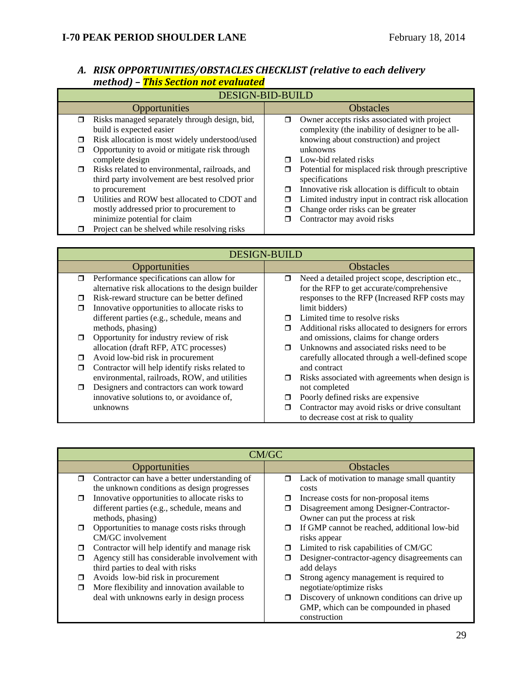|        | <u> IIIethod   - This Section not evaluated</u>                           |        |                                                                                                 |  |
|--------|---------------------------------------------------------------------------|--------|-------------------------------------------------------------------------------------------------|--|
|        | <b>DESIGN-BID-BUILD</b>                                                   |        |                                                                                                 |  |
|        | Opportunities                                                             |        | <b>Obstacles</b>                                                                                |  |
| $\Box$ | Risks managed separately through design, bid,<br>build is expected easier | σ      | Owner accepts risks associated with project<br>complexity (the inability of designer to be all- |  |
| $\Box$ | Risk allocation is most widely understood/used                            |        | knowing about construction) and project                                                         |  |
| □      | Opportunity to avoid or mitigate risk through<br>complete design          | $\Box$ | unknowns<br>Low-bid related risks                                                               |  |
| $\Box$ | Risks related to environmental, railroads, and                            | □      | Potential for misplaced risk through prescriptive                                               |  |
|        | third party involvement are best resolved prior                           |        | specifications                                                                                  |  |
|        | to procurement                                                            | $\Box$ | Innovative risk allocation is difficult to obtain                                               |  |
| $\Box$ | Utilities and ROW best allocated to CDOT and                              | ◘      | Limited industry input in contract risk allocation                                              |  |
|        | mostly addressed prior to procurement to                                  | ◘      | Change order risks can be greater                                                               |  |
|        | minimize potential for claim                                              | ⊓      | Contractor may avoid risks                                                                      |  |
|        | Project can be shelved while resolving risks                              |        |                                                                                                 |  |

## *A. RISK OPPORTUNITIES/OBSTACLES CHECKLIST (relative to each delivery method) – This Section not evaluated*

| <b>DESIGN-BUILD</b> |                                                                                                |                  |                                                                                               |
|---------------------|------------------------------------------------------------------------------------------------|------------------|-----------------------------------------------------------------------------------------------|
|                     | Opportunities                                                                                  |                  | <b>Obstacles</b>                                                                              |
| $\Box$              | Performance specifications can allow for<br>alternative risk allocations to the design builder | $\Box$           | Need a detailed project scope, description etc.,<br>for the RFP to get accurate/comprehensive |
| ⊓<br>Ω              | Risk-reward structure can be better defined<br>Innovative opportunities to allocate risks to   |                  | responses to the RFP (Increased RFP costs may<br>limit bidders)                               |
|                     | different parties (e.g., schedule, means and<br>methods, phasing)                              | $\Box$<br>$\Box$ | Limited time to resolve risks<br>Additional risks allocated to designers for errors           |
| $\Box$              | Opportunity for industry review of risk                                                        |                  | and omissions, claims for change orders                                                       |
| π                   | allocation (draft RFP, ATC processes)<br>Avoid low-bid risk in procurement                     | $\blacksquare$   | Unknowns and associated risks need to be<br>carefully allocated through a well-defined scope  |
| $\Box$              | Contractor will help identify risks related to<br>environmental, railroads, ROW, and utilities | Ω.               | and contract<br>Risks associated with agreements when design is                               |
| $\Box$              | Designers and contractors can work toward                                                      |                  | not completed                                                                                 |
|                     | innovative solutions to, or avoidance of,<br>unknowns                                          | □<br>⊓           | Poorly defined risks are expensive<br>Contractor may avoid risks or drive consultant          |
|                     |                                                                                                |                  | to decrease cost at risk to quality                                                           |

|        | CM/GC                                          |        |                                              |  |
|--------|------------------------------------------------|--------|----------------------------------------------|--|
|        | Opportunities                                  |        | <b>Obstacles</b>                             |  |
| $\Box$ | Contractor can have a better understanding of  | $\Box$ | Lack of motivation to manage small quantity  |  |
|        | the unknown conditions as design progresses    |        | costs                                        |  |
| $\Box$ | Innovative opportunities to allocate risks to  |        | Increase costs for non-proposal items        |  |
|        | different parties (e.g., schedule, means and   |        | Disagreement among Designer-Contractor-      |  |
|        | methods, phasing)                              |        | Owner can put the process at risk            |  |
| ⊓      | Opportunities to manage costs risks through    |        | If GMP cannot be reached, additional low-bid |  |
|        | CM/GC involvement                              |        | risks appear                                 |  |
| □      | Contractor will help identify and manage risk  |        | Limited to risk capabilities of CM/GC        |  |
| σ      | Agency still has considerable involvement with |        | Designer-contractor-agency disagreements can |  |
|        | third parties to deal with risks               |        | add delays                                   |  |
| $\Box$ | Avoids low-bid risk in procurement             |        | Strong agency management is required to      |  |
| $\Box$ | More flexibility and innovation available to   |        | negotiate/optimize risks                     |  |
|        | deal with unknowns early in design process     | □      | Discovery of unknown conditions can drive up |  |
|        |                                                |        | GMP, which can be compounded in phased       |  |
|        |                                                |        | construction                                 |  |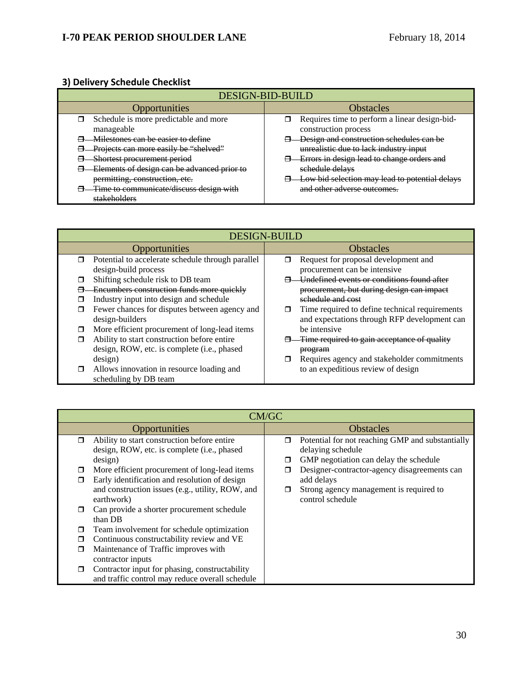## **3) Delivery Schedule Checklist**

| <b>DESIGN-BID-BUILD</b>                     |                                                |  |  |
|---------------------------------------------|------------------------------------------------|--|--|
| Opportunities                               | <b>Obstacles</b>                               |  |  |
| Schedule is more predictable and more       | Requires time to perform a linear design-bid-  |  |  |
| manageable                                  | construction process                           |  |  |
| Milestones can be easier to define          | Design and construction schedules can be       |  |  |
| Projects can more easily be "shelved"       | unrealistic due to lack industry input         |  |  |
| Shortest procurement period                 | Errors in design lead to change orders and     |  |  |
| Elements of design can be advanced prior to | schedule delays                                |  |  |
| permitting, construction, etc.              | Low bid selection may lead to potential delays |  |  |
| Time to communicate/discuss design with     | and other adverse outcomes.                    |  |  |
| stakeholders                                |                                                |  |  |

|        | <b>DESIGN-BUILD</b>                                                                        |   |                                                                                                |  |
|--------|--------------------------------------------------------------------------------------------|---|------------------------------------------------------------------------------------------------|--|
|        | Opportunities                                                                              |   | <b>Obstacles</b>                                                                               |  |
| $\Box$ | Potential to accelerate schedule through parallel<br>design-build process                  | ⊓ | Request for proposal development and<br>procurement can be intensive                           |  |
| ⊓      | Shifting schedule risk to DB team                                                          |   | Undefined events or conditions found after                                                     |  |
|        | Encumbers construction funds more quickly<br>Industry input into design and schedule       |   | procurement, but during design can impact<br>schedule and cost                                 |  |
| ◘      | Fewer chances for disputes between agency and<br>design-builders                           |   | Time required to define technical requirements<br>and expectations through RFP development can |  |
| ⊓      | More efficient procurement of long-lead items                                              |   | be intensive                                                                                   |  |
| ⊓      | Ability to start construction before entire<br>design, ROW, etc. is complete (i.e., phased |   | Time required to gain acceptance of quality<br><del>program</del>                              |  |
|        | design)                                                                                    |   | Requires agency and stakeholder commitments                                                    |  |
| σ      | Allows innovation in resource loading and<br>scheduling by DB team                         |   | to an expeditious review of design                                                             |  |

|             | CM/GC                                                                                                                                                         |        |                                                                                                                                                 |  |
|-------------|---------------------------------------------------------------------------------------------------------------------------------------------------------------|--------|-------------------------------------------------------------------------------------------------------------------------------------------------|--|
|             | Opportunities                                                                                                                                                 |        | <b>Obstacles</b>                                                                                                                                |  |
| $\Box$      | Ability to start construction before entire<br>design, ROW, etc. is complete (i.e., phased                                                                    | $\Box$ | Potential for not reaching GMP and substantially<br>delaying schedule                                                                           |  |
| □<br>$\Box$ | design)<br>More efficient procurement of long-lead items<br>Early identification and resolution of design<br>and construction issues (e.g., utility, ROW, and | □      | GMP negotiation can delay the schedule<br>Designer-contractor-agency disagreements can<br>add delays<br>Strong agency management is required to |  |
| $\Box$      | earthwork)<br>Can provide a shorter procurement schedule<br>than DB                                                                                           |        | control schedule                                                                                                                                |  |
| $\Box$      | Team involvement for schedule optimization                                                                                                                    |        |                                                                                                                                                 |  |
| $\Box$      | Continuous constructability review and VE                                                                                                                     |        |                                                                                                                                                 |  |
| Ω           | Maintenance of Traffic improves with<br>contractor inputs                                                                                                     |        |                                                                                                                                                 |  |
| □           | Contractor input for phasing, constructability<br>and traffic control may reduce overall schedule                                                             |        |                                                                                                                                                 |  |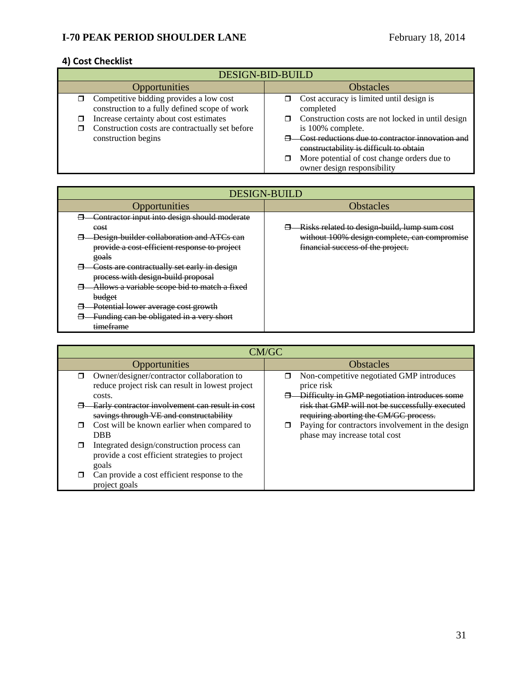## **4) Cost Checklist**

| <b>DESIGN-BID-BUILD</b>                                                                         |                                                                                                                                            |  |  |
|-------------------------------------------------------------------------------------------------|--------------------------------------------------------------------------------------------------------------------------------------------|--|--|
| <b>Opportunities</b>                                                                            | <b>Obstacles</b>                                                                                                                           |  |  |
| Competitive bidding provides a low cost<br>σ.<br>construction to a fully defined scope of work  | Cost accuracy is limited until design is<br>completed                                                                                      |  |  |
| Increase certainty about cost estimates<br>Construction costs are contractually set before<br>◻ | Construction costs are not locked in until design<br>is 100% complete.                                                                     |  |  |
| construction begins                                                                             | Cost reductions due to contractor innovation and<br>constructability is difficult to obtain<br>More potential of cost change orders due to |  |  |
|                                                                                                 | owner design responsibility                                                                                                                |  |  |

| <b>DESIGN-BUILD</b>                                                                                |                                                                                   |  |
|----------------------------------------------------------------------------------------------------|-----------------------------------------------------------------------------------|--|
| Opportunities                                                                                      | <b>Obstacles</b>                                                                  |  |
| Contractor input into design should moderate<br>cost                                               | Risks related to design build, lump sum cost                                      |  |
| Design builder collaboration and ATCs can<br>provide a cost-efficient response to project<br>goals | without 100% design complete, can compromise<br>financial success of the project. |  |
| Costs are contractually set early in design<br>process with design-build proposal                  |                                                                                   |  |
| Allows a variable scope bid to match a fixed<br>budget                                             |                                                                                   |  |
| Potential lower average cost growth<br>Funding can be obligated in a very short<br>timeframe       |                                                                                   |  |

| CM/GC                                                                                                 |                                                                                          |  |
|-------------------------------------------------------------------------------------------------------|------------------------------------------------------------------------------------------|--|
| Opportunities                                                                                         | <b>Obstacles</b>                                                                         |  |
| Owner/designer/contractor collaboration to<br>⊓<br>reduce project risk can result in lowest project   | Non-competitive negotiated GMP introduces<br>price risk                                  |  |
| costs.                                                                                                | Difficulty in GMP negotiation introduces some                                            |  |
| Early contractor involvement can result in cost<br>savings through VE and constructability            | risk that GMP will not be successfully executed<br>requiring aborting the CM/GC process. |  |
| Cost will be known earlier when compared to<br>⊓<br><b>DBB</b>                                        | Paying for contractors involvement in the design<br>phase may increase total cost        |  |
| Integrated design/construction process can<br>provide a cost efficient strategies to project<br>goals |                                                                                          |  |
| Can provide a cost efficient response to the<br>project goals                                         |                                                                                          |  |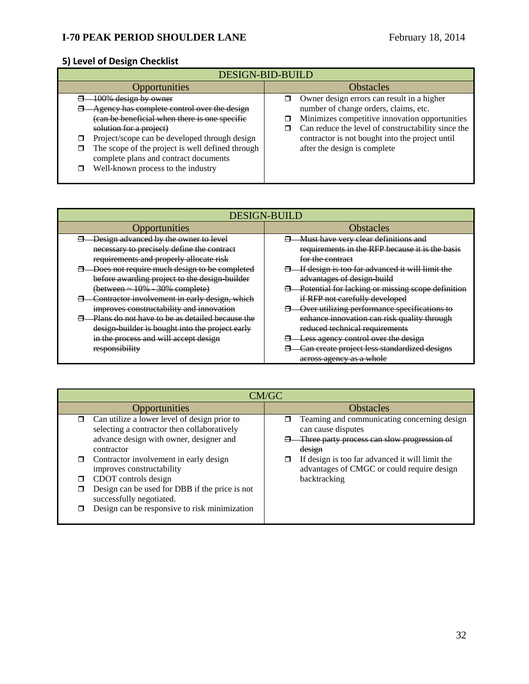## **5) Level of Design Checklist**

| DESIGN-BID-BUILD                                                                                                                                                                                                                                                                                                                             |                                                                                                                                                                                                                                                                                |  |
|----------------------------------------------------------------------------------------------------------------------------------------------------------------------------------------------------------------------------------------------------------------------------------------------------------------------------------------------|--------------------------------------------------------------------------------------------------------------------------------------------------------------------------------------------------------------------------------------------------------------------------------|--|
| Opportunities                                                                                                                                                                                                                                                                                                                                | <b>Obstacles</b>                                                                                                                                                                                                                                                               |  |
| 00% design by owner<br>Agency has complete control over the design<br>(can be beneficial when there is one specific<br>solution for a project)<br>Project/scope can be developed through design<br>The scope of the project is well defined through<br>⊓<br>complete plans and contract documents<br>Well-known process to the industry<br>┑ | Owner design errors can result in a higher<br>number of change orders, claims, etc.<br>Minimizes competitive innovation opportunities<br>Can reduce the level of constructability since the<br>contractor is not bought into the project until<br>after the design is complete |  |

| <b>DESIGN-BUILD</b>                             |                                                   |  |
|-------------------------------------------------|---------------------------------------------------|--|
| Opportunities                                   | <b>Obstacles</b>                                  |  |
| Design advanced by the owner to level           | Must have very clear definitions and              |  |
| necessary to precisely define the contract      | requirements in the RFP because it is the basis   |  |
| requirements and properly allocate risk         | for the contract                                  |  |
| Does not require much design to be completed    | If design is too far advanced it will limit the   |  |
| before awarding project to the design builder   | advantages of design build                        |  |
| (between - 10% 30% complete)                    | Potential for lacking or missing scope definition |  |
| Contractor involvement in early design, which   | if RFP not carefully developed                    |  |
| improves constructability and innovation        | Over utilizing performance specifications to      |  |
| Plans do not have to be as detailed because the | enhance innovation can risk quality through       |  |
| design builder is bought into the project early | reduced technical requirements                    |  |
| in the process and will accept design           | Less agency control over the design               |  |
| responsibility                                  | Can create project less standardized designs      |  |
|                                                 | across agency as a whole                          |  |

| CM/GC                                                                                                                                                                                                                                                         |                                                                                                                                                                                                                                             |  |
|---------------------------------------------------------------------------------------------------------------------------------------------------------------------------------------------------------------------------------------------------------------|---------------------------------------------------------------------------------------------------------------------------------------------------------------------------------------------------------------------------------------------|--|
| Opportunities                                                                                                                                                                                                                                                 | <b>Obstacles</b>                                                                                                                                                                                                                            |  |
| Can utilize a lower level of design prior to<br>$\Box$<br>selecting a contractor then collaboratively<br>advance design with owner, designer and<br>contractor<br>Contractor involvement in early design<br>improves constructability<br>CDOT controls design | Teaming and communicating concerning design<br>can cause disputes<br>Three party process can slow progression of<br>design<br>If design is too far advanced it will limit the<br>advantages of CMGC or could require design<br>backtracking |  |
| Design can be used for DBB if the price is not<br>successfully negotiated.<br>Design can be responsive to risk minimization                                                                                                                                   |                                                                                                                                                                                                                                             |  |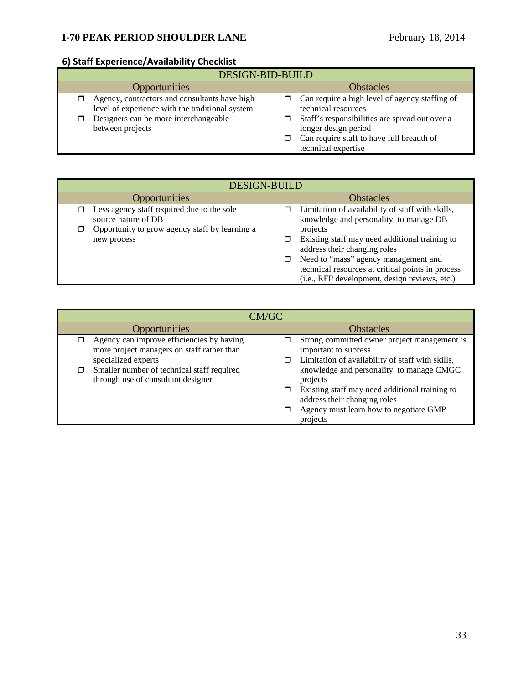# **6) Staff Experience/Availability Checklist**

| <b>DESIGN-BID-BUILD</b>                                                                                                                                       |                                                                                                                                                                                                                     |  |
|---------------------------------------------------------------------------------------------------------------------------------------------------------------|---------------------------------------------------------------------------------------------------------------------------------------------------------------------------------------------------------------------|--|
| <b>Opportunities</b>                                                                                                                                          | <b>Obstacles</b>                                                                                                                                                                                                    |  |
| Agency, contractors and consultants have high<br>level of experience with the traditional system<br>Designers can be more interchangeable<br>between projects | Can require a high level of agency staffing of<br>technical resources<br>Staff's responsibilities are spread out over a<br>longer design period<br>Can require staff to have full breadth of<br>technical expertise |  |

| <b>DESIGN-BUILD</b>                                                     |                                                                                                                                                                                                                                            |  |
|-------------------------------------------------------------------------|--------------------------------------------------------------------------------------------------------------------------------------------------------------------------------------------------------------------------------------------|--|
| Opportunities                                                           | <b>Obstacles</b>                                                                                                                                                                                                                           |  |
| Less agency staff required due to the sole<br>σ.<br>source nature of DB | $\Box$ Limitation of availability of staff with skills,<br>knowledge and personality to manage DB                                                                                                                                          |  |
| Opportunity to grow agency staff by learning a<br>◘<br>new process      | projects<br>Existing staff may need additional training to<br>address their changing roles<br>□ Need to "mass" agency management and<br>technical resources at critical points in process<br>(i.e., RFP development, design reviews, etc.) |  |

| CM/GC                                                                                                                                                                                              |                                                                                                                                                                                                                                                                                                                          |  |
|----------------------------------------------------------------------------------------------------------------------------------------------------------------------------------------------------|--------------------------------------------------------------------------------------------------------------------------------------------------------------------------------------------------------------------------------------------------------------------------------------------------------------------------|--|
| <b>Opportunities</b>                                                                                                                                                                               | <b>Obstacles</b>                                                                                                                                                                                                                                                                                                         |  |
| Agency can improve efficiencies by having<br>more project managers on staff rather than<br>specialized experts<br>Smaller number of technical staff required<br>through use of consultant designer | Strong committed owner project management is<br>important to success<br>Limitation of availability of staff with skills,<br>knowledge and personality to manage CMGC<br>projects<br>Existing staff may need additional training to<br>address their changing roles<br>Agency must learn how to negotiate GMP<br>projects |  |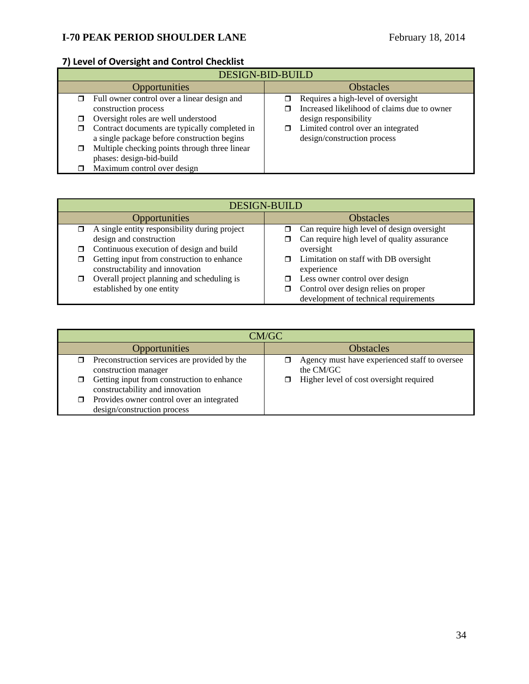# **7) Level of Oversight and Control Checklist**

| <b>DESIGN-BID-BUILD</b> |                                               |                  |                                             |
|-------------------------|-----------------------------------------------|------------------|---------------------------------------------|
|                         | Opportunities                                 | <b>Obstacles</b> |                                             |
|                         | Full owner control over a linear design and   |                  | Requires a high-level of oversight          |
|                         | construction process                          |                  | Increased likelihood of claims due to owner |
|                         | Oversight roles are well understood           |                  | design responsibility                       |
|                         | Contract documents are typically completed in | σ                | Limited control over an integrated          |
|                         | a single package before construction begins   |                  | design/construction process                 |
|                         | Multiple checking points through three linear |                  |                                             |
|                         | phases: design-bid-build                      |                  |                                             |
|                         | Maximum control over design                   |                  |                                             |

| <b>DESIGN-BUILD</b>                           |                                                  |  |
|-----------------------------------------------|--------------------------------------------------|--|
| Opportunities                                 | <b>Obstacles</b>                                 |  |
| A single entity responsibility during project | Can require high level of design oversight       |  |
| design and construction                       | Can require high level of quality assurance<br>⊓ |  |
| Continuous execution of design and build      | oversight                                        |  |
| Getting input from construction to enhance    | Limitation on staff with DB oversight<br>$\Box$  |  |
| constructability and innovation               | experience                                       |  |
| Overall project planning and scheduling is    | Less owner control over design                   |  |
| established by one entity                     | Control over design relies on proper             |  |
|                                               | development of technical requirements            |  |

| CM/GC                                                                         |                                                            |  |
|-------------------------------------------------------------------------------|------------------------------------------------------------|--|
| <b>Opportunities</b>                                                          | <b>Obstacles</b>                                           |  |
| Preconstruction services are provided by the<br>construction manager          | Agency must have experienced staff to oversee<br>the CM/GC |  |
| Getting input from construction to enhance<br>constructability and innovation | Higher level of cost oversight required                    |  |
| Provides owner control over an integrated<br>design/construction process      |                                                            |  |